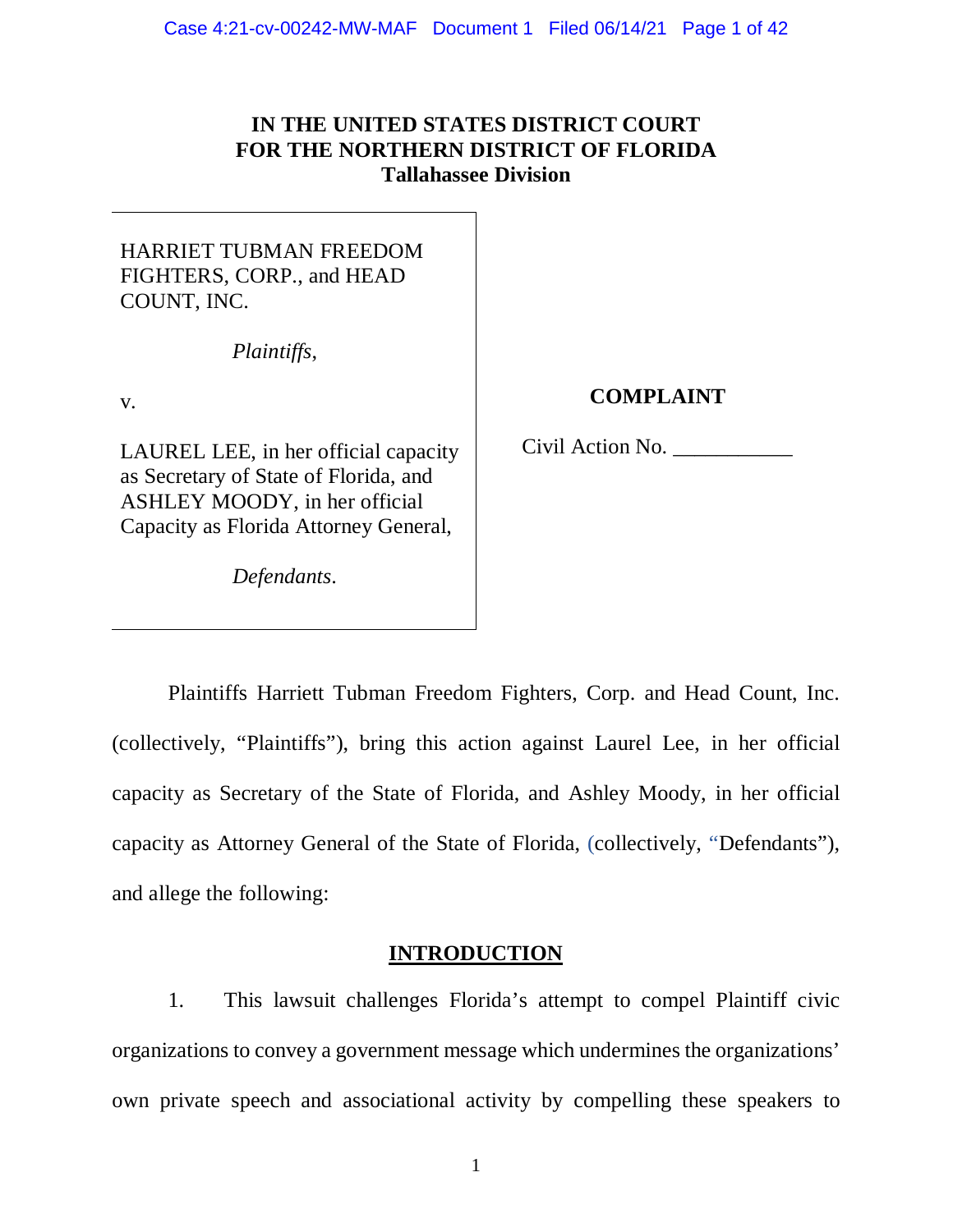# **IN THE UNITED STATES DISTRICT COURT FOR THE NORTHERN DISTRICT OF FLORIDA Tallahassee Division**

# HARRIET TUBMAN FREEDOM FIGHTERS, CORP., and HEAD COUNT, INC.

*Plaintiffs*,

v.

LAUREL LEE, in her official capacity as Secretary of State of Florida, and ASHLEY MOODY, in her official Capacity as Florida Attorney General,

*Defendants*.

# **COMPLAINT**

Civil Action No. \_\_\_\_\_\_\_\_\_\_\_

Plaintiffs Harriett Tubman Freedom Fighters, Corp. and Head Count, Inc. (collectively, "Plaintiffs"), bring this action against Laurel Lee, in her official capacity as Secretary of the State of Florida, and Ashley Moody, in her official capacity as Attorney General of the State of Florida, (collectively, "Defendants"), and allege the following:

# **INTRODUCTION**

1. This lawsuit challenges Florida's attempt to compel Plaintiff civic organizations to convey a government message which undermines the organizations' own private speech and associational activity by compelling these speakers to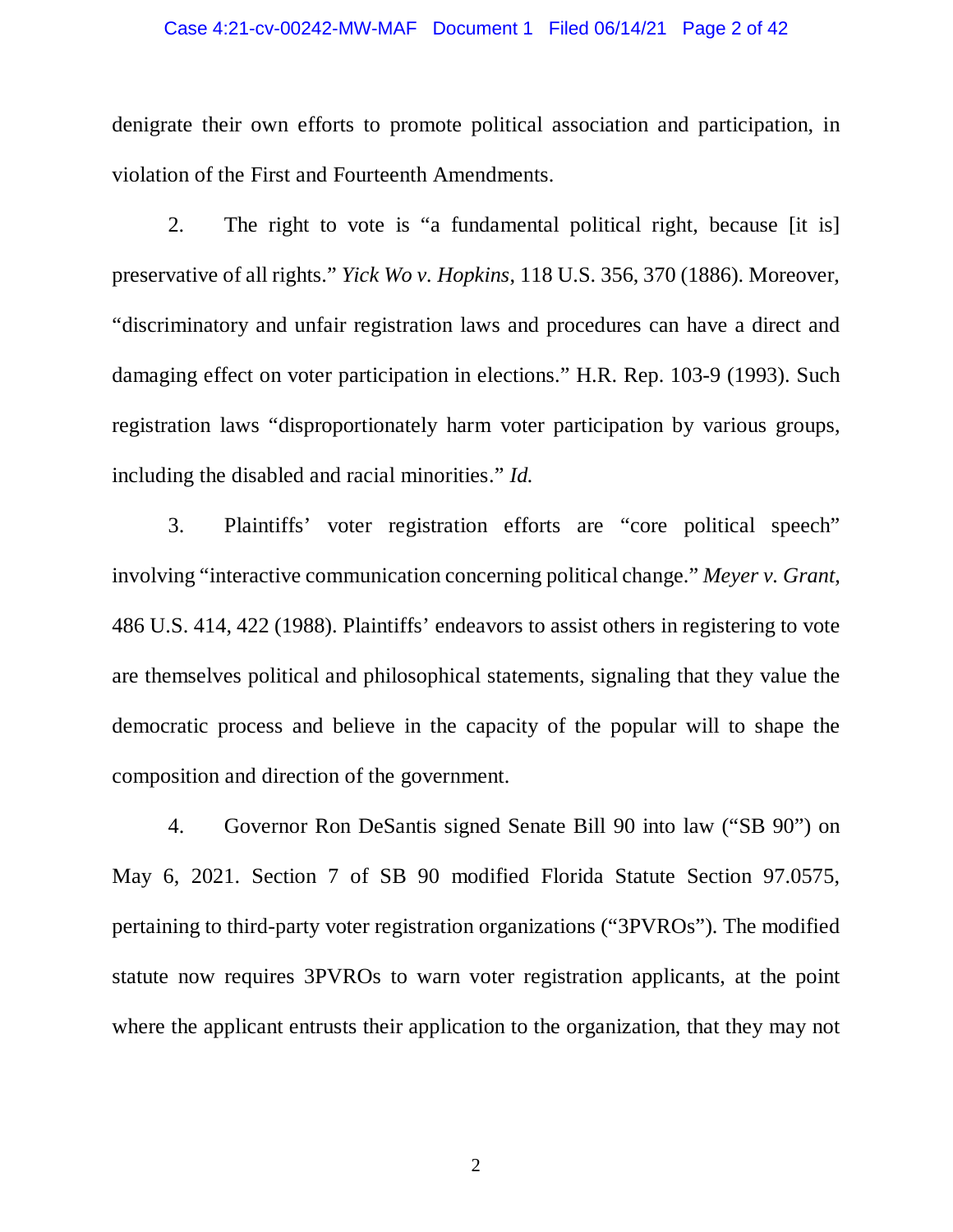### Case 4:21-cv-00242-MW-MAF Document 1 Filed 06/14/21 Page 2 of 42

denigrate their own efforts to promote political association and participation, in violation of the First and Fourteenth Amendments.

2. The right to vote is "a fundamental political right, because [it is] preservative of all rights." *Yick Wo v. Hopkins*, 118 U.S. 356, 370 (1886). Moreover, "discriminatory and unfair registration laws and procedures can have a direct and damaging effect on voter participation in elections." H.R. Rep. 103-9 (1993). Such registration laws "disproportionately harm voter participation by various groups, including the disabled and racial minorities." *Id.*

3. Plaintiffs' voter registration efforts are "core political speech" involving "interactive communication concerning political change." *Meyer v. Grant*, 486 U.S. 414, 422 (1988). Plaintiffs' endeavors to assist others in registering to vote are themselves political and philosophical statements, signaling that they value the democratic process and believe in the capacity of the popular will to shape the composition and direction of the government.

4. Governor Ron DeSantis signed Senate Bill 90 into law ("SB 90") on May 6, 2021. Section 7 of SB 90 modified Florida Statute Section 97.0575, pertaining to third-party voter registration organizations ("3PVROs"). The modified statute now requires 3PVROs to warn voter registration applicants, at the point where the applicant entrusts their application to the organization, that they may not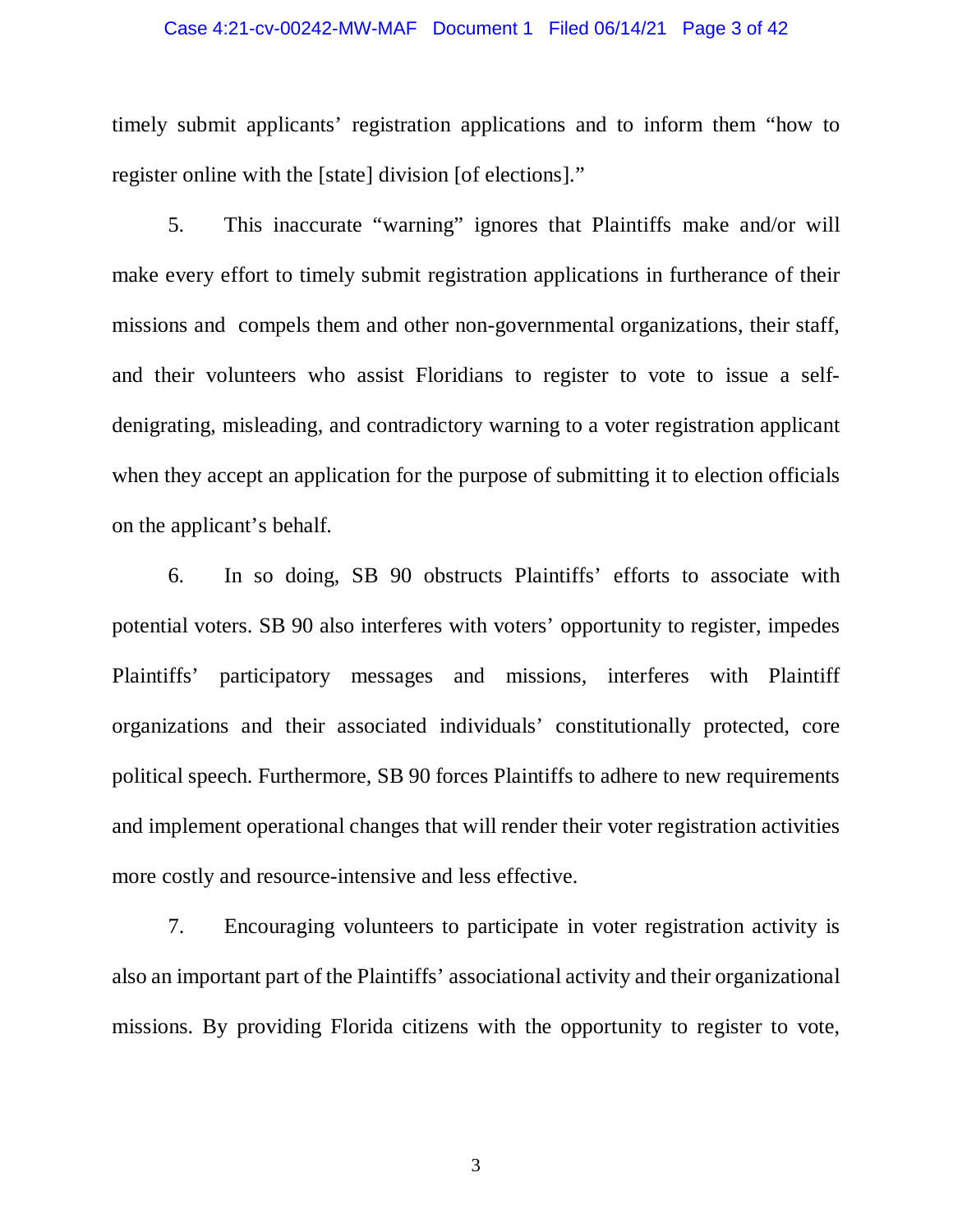### Case 4:21-cv-00242-MW-MAF Document 1 Filed 06/14/21 Page 3 of 42

timely submit applicants' registration applications and to inform them "how to register online with the [state] division [of elections]."

5. This inaccurate "warning" ignores that Plaintiffs make and/or will make every effort to timely submit registration applications in furtherance of their missions and compels them and other non-governmental organizations, their staff, and their volunteers who assist Floridians to register to vote to issue a selfdenigrating, misleading, and contradictory warning to a voter registration applicant when they accept an application for the purpose of submitting it to election officials on the applicant's behalf.

6. In so doing, SB 90 obstructs Plaintiffs' efforts to associate with potential voters. SB 90 also interferes with voters' opportunity to register, impedes Plaintiffs' participatory messages and missions, interferes with Plaintiff organizations and their associated individuals' constitutionally protected, core political speech. Furthermore, SB 90 forces Plaintiffs to adhere to new requirements and implement operational changes that will render their voter registration activities more costly and resource-intensive and less effective.

7. Encouraging volunteers to participate in voter registration activity is also an important part of the Plaintiffs' associational activity and their organizational missions. By providing Florida citizens with the opportunity to register to vote,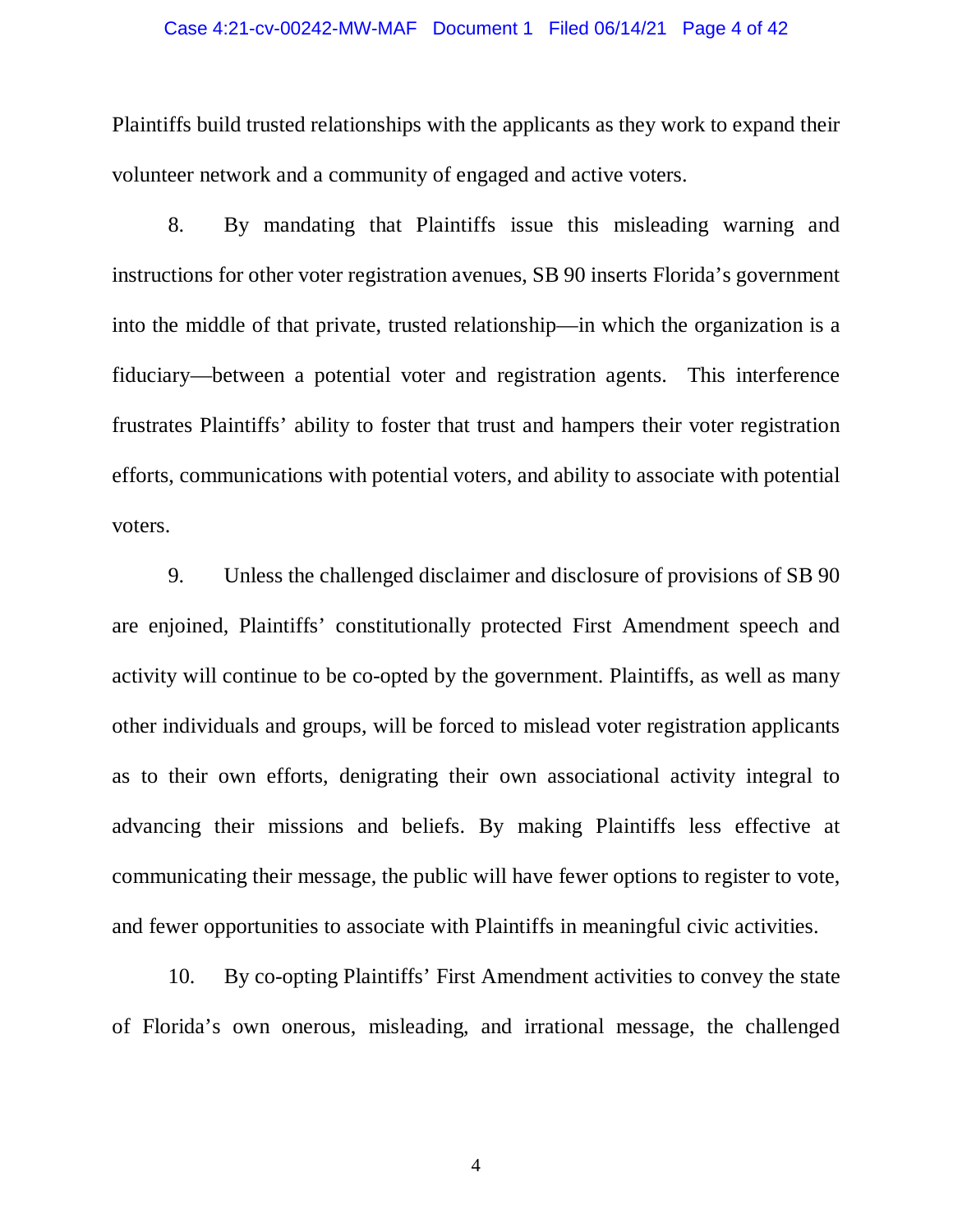### Case 4:21-cv-00242-MW-MAF Document 1 Filed 06/14/21 Page 4 of 42

Plaintiffs build trusted relationships with the applicants as they work to expand their volunteer network and a community of engaged and active voters.

8. By mandating that Plaintiffs issue this misleading warning and instructions for other voter registration avenues, SB 90 inserts Florida's government into the middle of that private, trusted relationship—in which the organization is a fiduciary—between a potential voter and registration agents. This interference frustrates Plaintiffs' ability to foster that trust and hampers their voter registration efforts, communications with potential voters, and ability to associate with potential voters.

9. Unless the challenged disclaimer and disclosure of provisions of SB 90 are enjoined, Plaintiffs' constitutionally protected First Amendment speech and activity will continue to be co-opted by the government. Plaintiffs, as well as many other individuals and groups, will be forced to mislead voter registration applicants as to their own efforts, denigrating their own associational activity integral to advancing their missions and beliefs. By making Plaintiffs less effective at communicating their message, the public will have fewer options to register to vote, and fewer opportunities to associate with Plaintiffs in meaningful civic activities.

10. By co-opting Plaintiffs' First Amendment activities to convey the state of Florida's own onerous, misleading, and irrational message, the challenged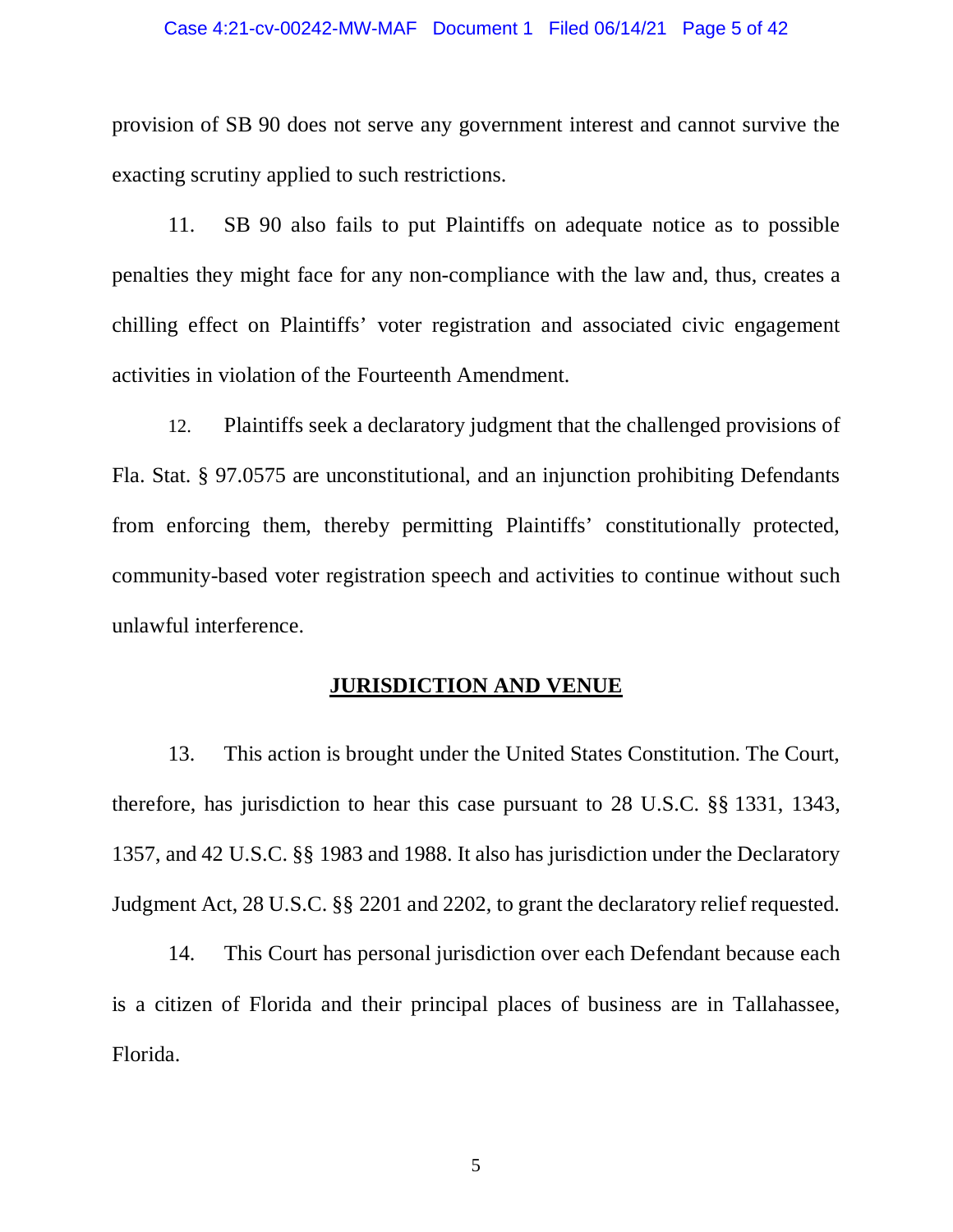### Case 4:21-cv-00242-MW-MAF Document 1 Filed 06/14/21 Page 5 of 42

provision of SB 90 does not serve any government interest and cannot survive the exacting scrutiny applied to such restrictions.

11. SB 90 also fails to put Plaintiffs on adequate notice as to possible penalties they might face for any non-compliance with the law and, thus, creates a chilling effect on Plaintiffs' voter registration and associated civic engagement activities in violation of the Fourteenth Amendment.

12. Plaintiffs seek a declaratory judgment that the challenged provisions of Fla. Stat. § 97.0575 are unconstitutional, and an injunction prohibiting Defendants from enforcing them, thereby permitting Plaintiffs' constitutionally protected, community-based voter registration speech and activities to continue without such unlawful interference.

## **JURISDICTION AND VENUE**

13. This action is brought under the United States Constitution. The Court, therefore, has jurisdiction to hear this case pursuant to 28 U.S.C. §§ 1331, 1343, 1357, and 42 U.S.C. §§ 1983 and 1988. It also has jurisdiction under the Declaratory Judgment Act, 28 U.S.C. §§ 2201 and 2202, to grant the declaratory relief requested.

14. This Court has personal jurisdiction over each Defendant because each is a citizen of Florida and their principal places of business are in Tallahassee, Florida.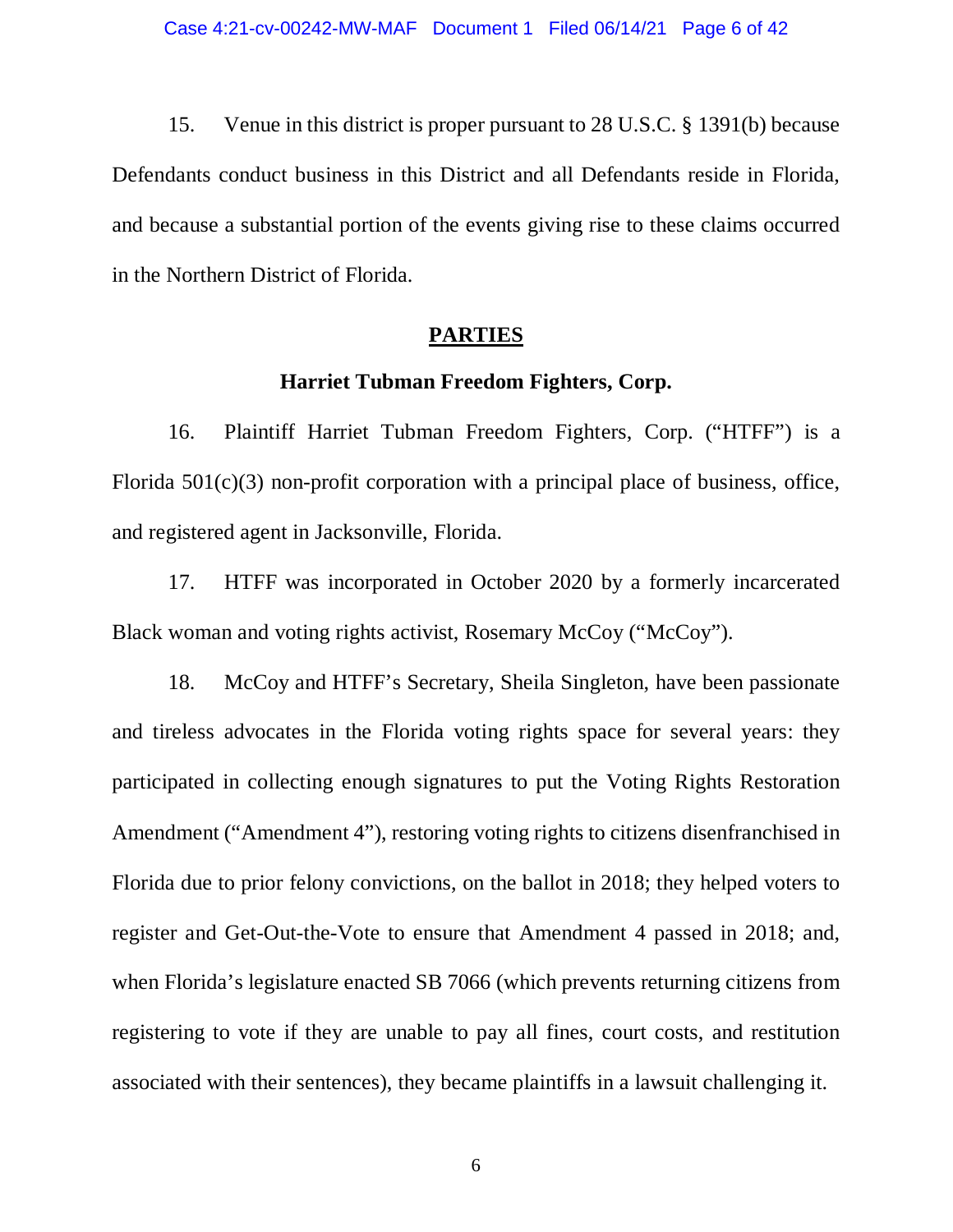15. Venue in this district is proper pursuant to 28 U.S.C. § 1391(b) because Defendants conduct business in this District and all Defendants reside in Florida, and because a substantial portion of the events giving rise to these claims occurred in the Northern District of Florida.

### **PARTIES**

## **Harriet Tubman Freedom Fighters, Corp.**

16. Plaintiff Harriet Tubman Freedom Fighters, Corp. ("HTFF") is a Florida 501(c)(3) non-profit corporation with a principal place of business, office, and registered agent in Jacksonville, Florida.

17. HTFF was incorporated in October 2020 by a formerly incarcerated Black woman and voting rights activist, Rosemary McCoy ("McCoy").

18. McCoy and HTFF's Secretary, Sheila Singleton, have been passionate and tireless advocates in the Florida voting rights space for several years: they participated in collecting enough signatures to put the Voting Rights Restoration Amendment ("Amendment 4"), restoring voting rights to citizens disenfranchised in Florida due to prior felony convictions, on the ballot in 2018; they helped voters to register and Get-Out-the-Vote to ensure that Amendment 4 passed in 2018; and, when Florida's legislature enacted SB 7066 (which prevents returning citizens from registering to vote if they are unable to pay all fines, court costs, and restitution associated with their sentences), they became plaintiffs in a lawsuit challenging it.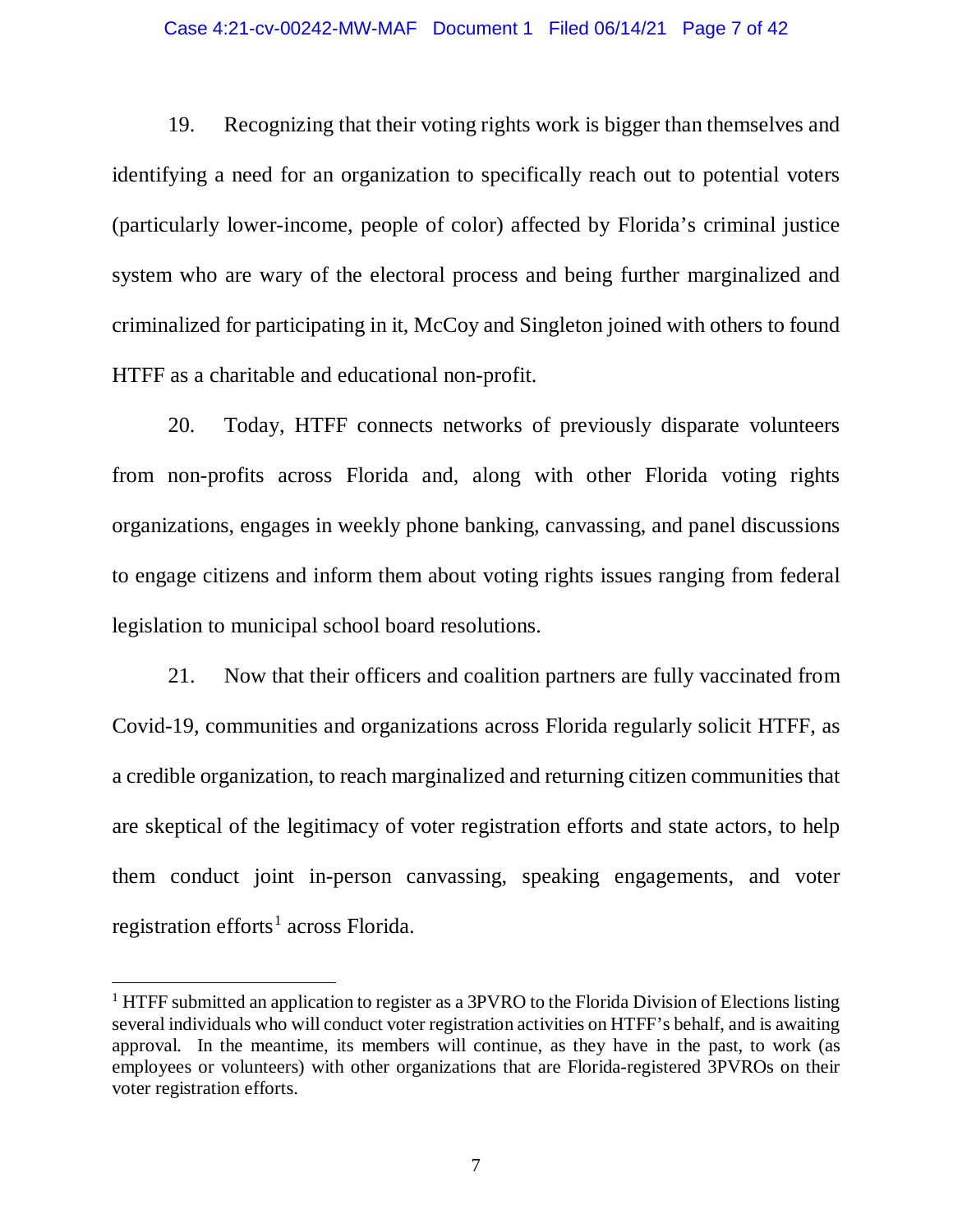### Case 4:21-cv-00242-MW-MAF Document 1 Filed 06/14/21 Page 7 of 42

19. Recognizing that their voting rights work is bigger than themselves and identifying a need for an organization to specifically reach out to potential voters (particularly lower-income, people of color) affected by Florida's criminal justice system who are wary of the electoral process and being further marginalized and criminalized for participating in it, McCoy and Singleton joined with others to found HTFF as a charitable and educational non-profit.

20. Today, HTFF connects networks of previously disparate volunteers from non-profits across Florida and, along with other Florida voting rights organizations, engages in weekly phone banking, canvassing, and panel discussions to engage citizens and inform them about voting rights issues ranging from federal legislation to municipal school board resolutions.

21. Now that their officers and coalition partners are fully vaccinated from Covid-19, communities and organizations across Florida regularly solicit HTFF, as a credible organization, to reach marginalized and returning citizen communities that are skeptical of the legitimacy of voter registration efforts and state actors, to help them conduct joint in-person canvassing, speaking engagements, and voter registration efforts<sup>[1](#page-6-0)</sup> across Florida.

<span id="page-6-0"></span> $1$  HTFF submitted an application to register as a 3PVRO to the Florida Division of Elections listing several individuals who will conduct voter registration activities on HTFF's behalf, and is awaiting approval. In the meantime, its members will continue, as they have in the past, to work (as employees or volunteers) with other organizations that are Florida-registered 3PVROs on their voter registration efforts.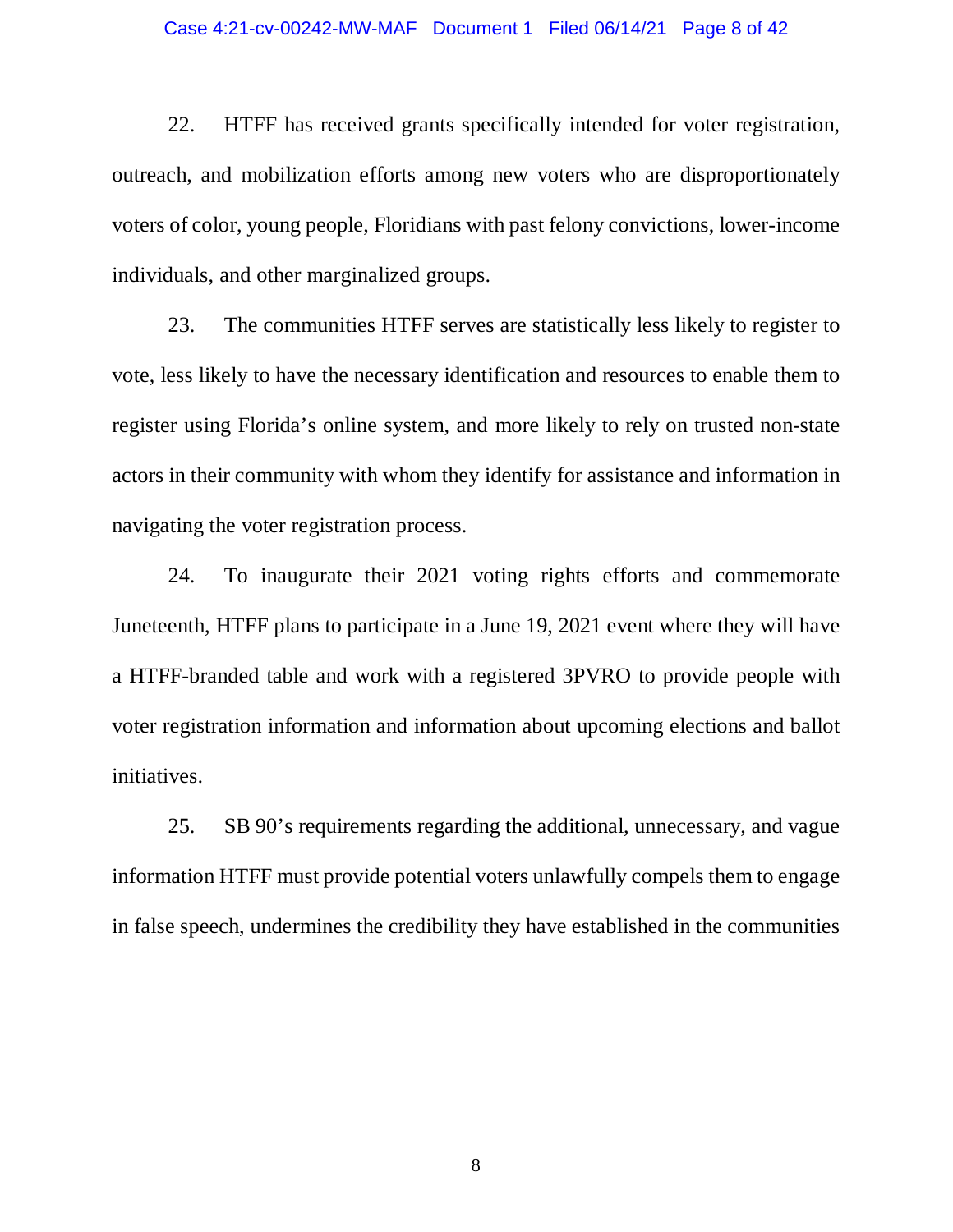### Case 4:21-cv-00242-MW-MAF Document 1 Filed 06/14/21 Page 8 of 42

22. HTFF has received grants specifically intended for voter registration, outreach, and mobilization efforts among new voters who are disproportionately voters of color, young people, Floridians with past felony convictions, lower-income individuals, and other marginalized groups.

23. The communities HTFF serves are statistically less likely to register to vote, less likely to have the necessary identification and resources to enable them to register using Florida's online system, and more likely to rely on trusted non-state actors in their community with whom they identify for assistance and information in navigating the voter registration process.

24. To inaugurate their 2021 voting rights efforts and commemorate Juneteenth, HTFF plans to participate in a June 19, 2021 event where they will have a HTFF-branded table and work with a registered 3PVRO to provide people with voter registration information and information about upcoming elections and ballot initiatives.

25. SB 90's requirements regarding the additional, unnecessary, and vague information HTFF must provide potential voters unlawfully compels them to engage in false speech, undermines the credibility they have established in the communities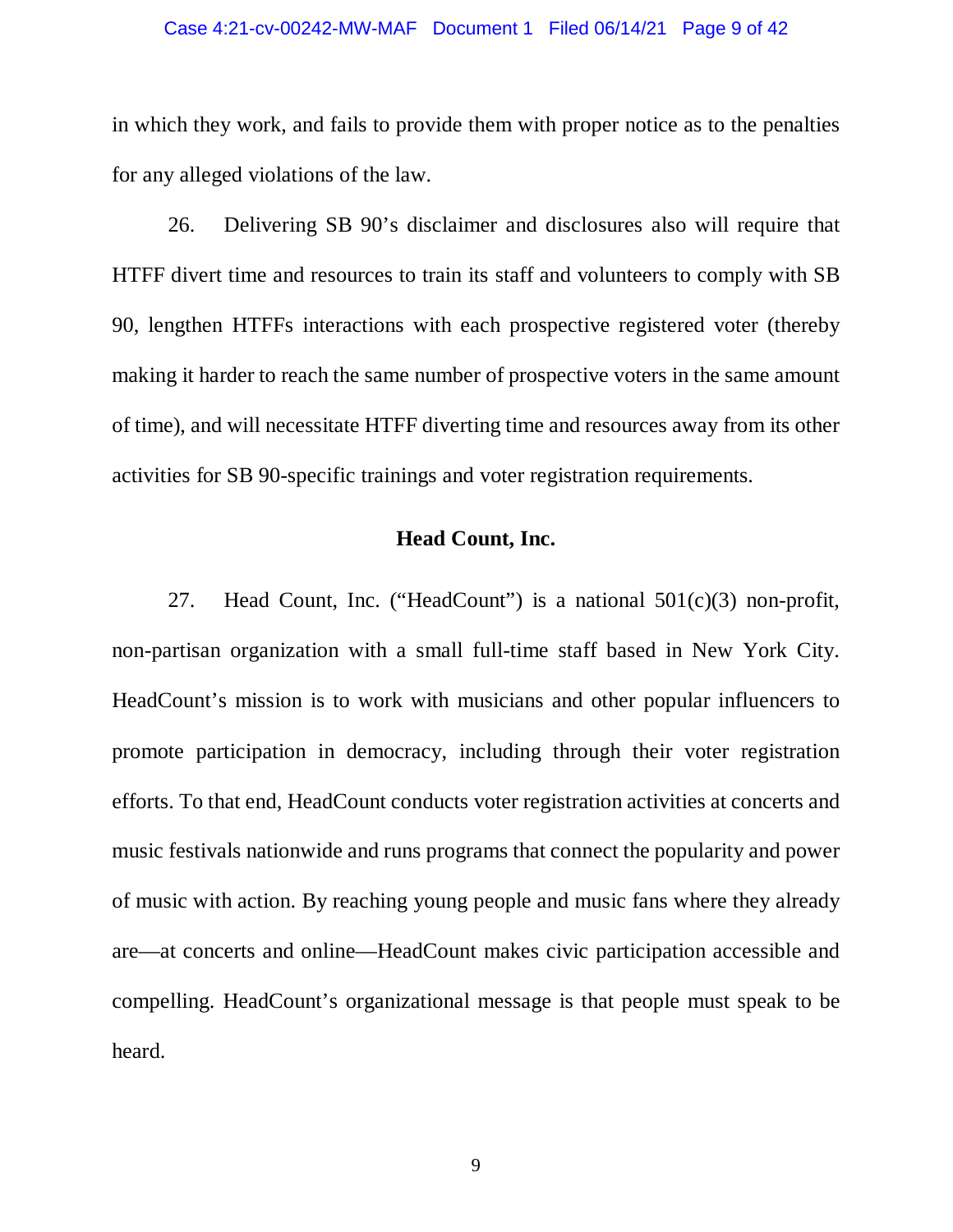### Case 4:21-cv-00242-MW-MAF Document 1 Filed 06/14/21 Page 9 of 42

in which they work, and fails to provide them with proper notice as to the penalties for any alleged violations of the law.

26. Delivering SB 90's disclaimer and disclosures also will require that HTFF divert time and resources to train its staff and volunteers to comply with SB 90, lengthen HTFFs interactions with each prospective registered voter (thereby making it harder to reach the same number of prospective voters in the same amount of time), and will necessitate HTFF diverting time and resources away from its other activities for SB 90-specific trainings and voter registration requirements.

## **Head Count, Inc.**

27. Head Count, Inc. ("HeadCount") is a national 501(c)(3) non-profit, non-partisan organization with a small full-time staff based in New York City. HeadCount's mission is to work with musicians and other popular influencers to promote participation in democracy, including through their voter registration efforts. To that end, HeadCount conducts voter registration activities at concerts and music festivals nationwide and runs programs that connect the popularity and power of music with action. By reaching young people and music fans where they already are—at concerts and online—HeadCount makes civic participation accessible and compelling. HeadCount's organizational message is that people must speak to be heard.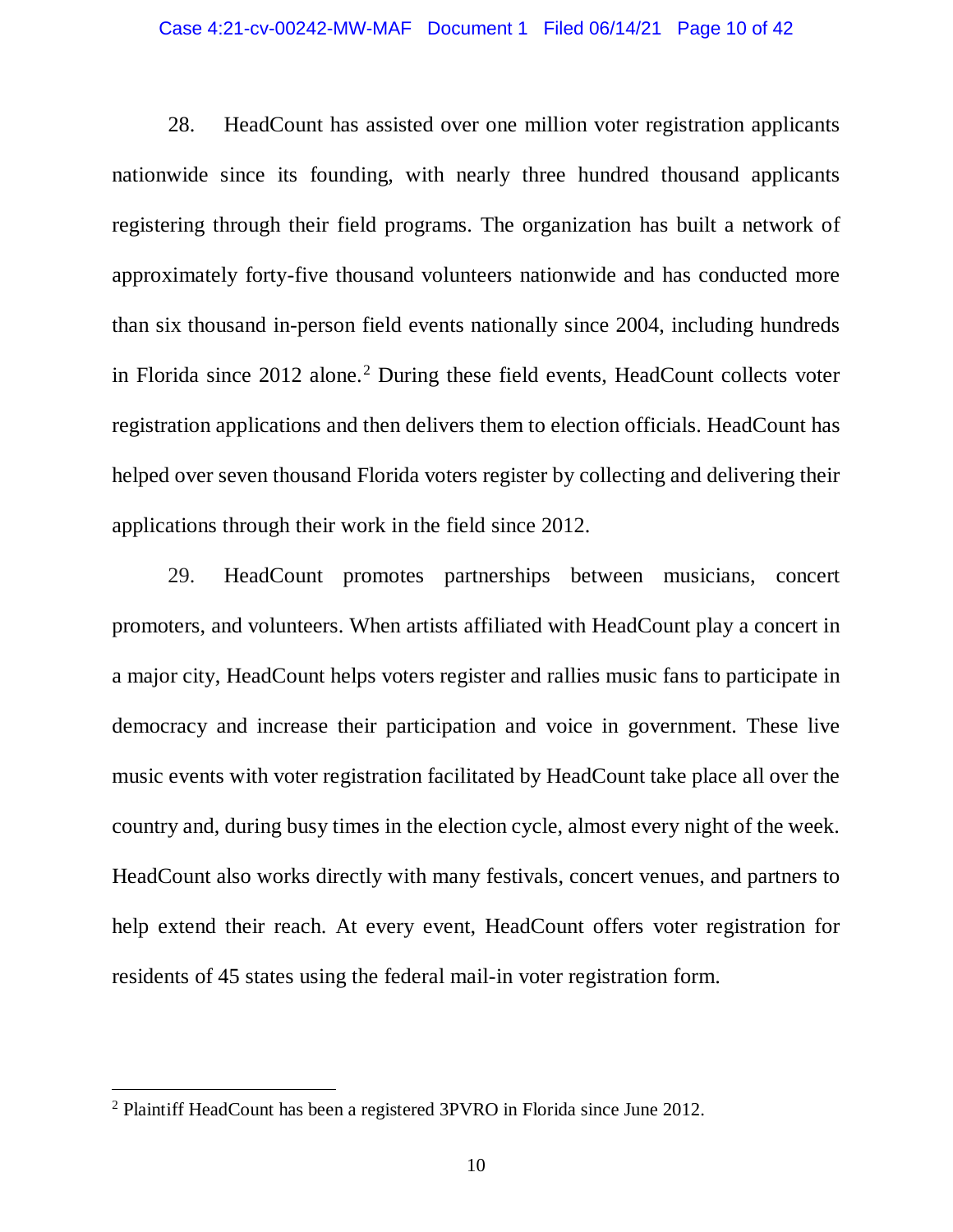### Case 4:21-cv-00242-MW-MAF Document 1 Filed 06/14/21 Page 10 of 42

28. HeadCount has assisted over one million voter registration applicants nationwide since its founding, with nearly three hundred thousand applicants registering through their field programs. The organization has built a network of approximately forty-five thousand volunteers nationwide and has conducted more than six thousand in-person field events nationally since 2004, including hundreds in Florida since 2012 alone. [2](#page-9-0) During these field events, HeadCount collects voter registration applications and then delivers them to election officials. HeadCount has helped over seven thousand Florida voters register by collecting and delivering their applications through their work in the field since 2012.

29. HeadCount promotes partnerships between musicians, concert promoters, and volunteers. When artists affiliated with HeadCount play a concert in a major city, HeadCount helps voters register and rallies music fans to participate in democracy and increase their participation and voice in government. These live music events with voter registration facilitated by HeadCount take place all over the country and, during busy times in the election cycle, almost every night of the week. HeadCount also works directly with many festivals, concert venues, and partners to help extend their reach. At every event, HeadCount offers voter registration for residents of 45 states using the federal mail-in voter registration form.

<span id="page-9-0"></span> <sup>2</sup> Plaintiff HeadCount has been a registered 3PVRO in Florida since June 2012.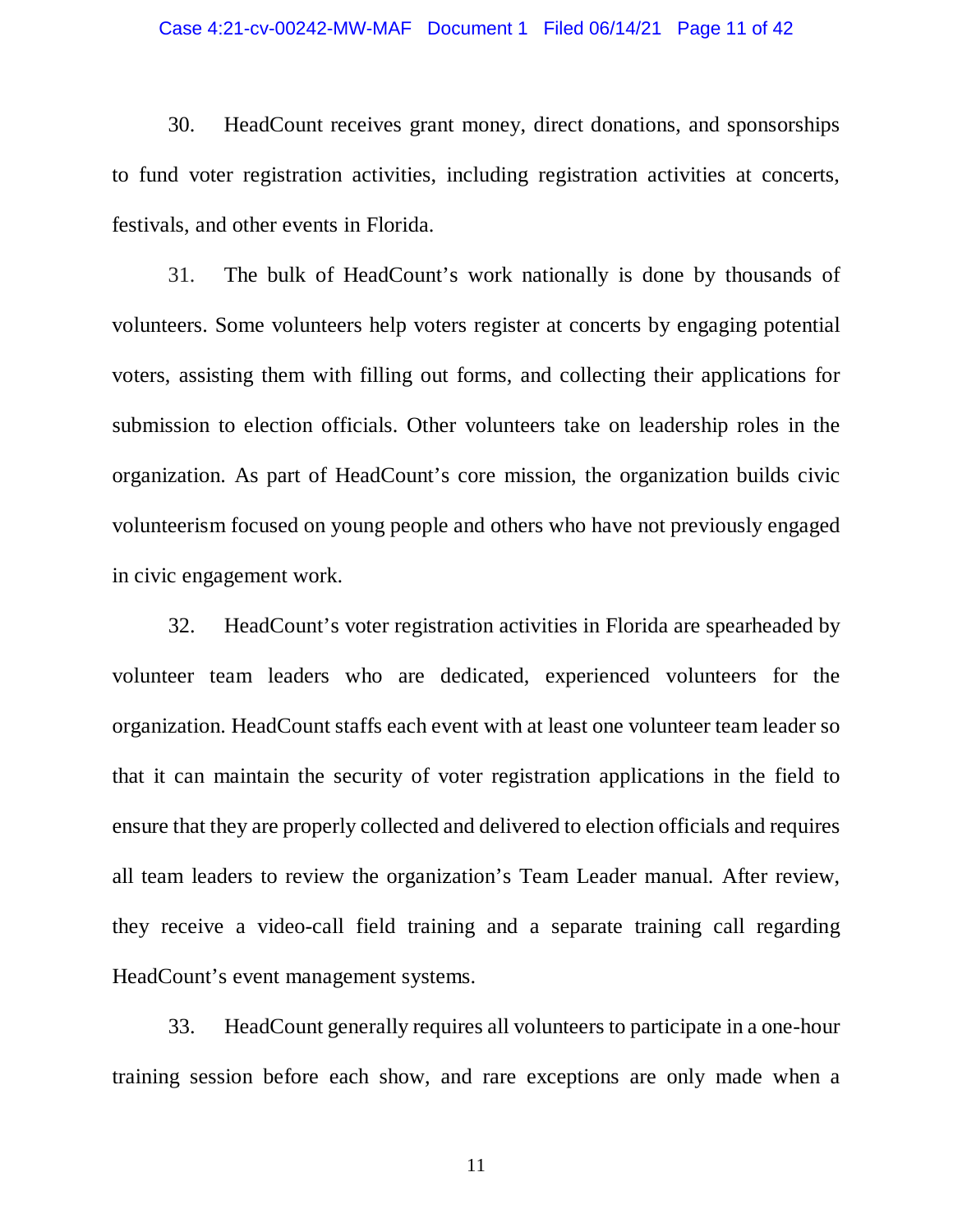### Case 4:21-cv-00242-MW-MAF Document 1 Filed 06/14/21 Page 11 of 42

30. HeadCount receives grant money, direct donations, and sponsorships to fund voter registration activities, including registration activities at concerts, festivals, and other events in Florida.

31. The bulk of HeadCount's work nationally is done by thousands of volunteers. Some volunteers help voters register at concerts by engaging potential voters, assisting them with filling out forms, and collecting their applications for submission to election officials. Other volunteers take on leadership roles in the organization. As part of HeadCount's core mission, the organization builds civic volunteerism focused on young people and others who have not previously engaged in civic engagement work.

32. HeadCount's voter registration activities in Florida are spearheaded by volunteer team leaders who are dedicated, experienced volunteers for the organization. HeadCount staffs each event with at least one volunteer team leader so that it can maintain the security of voter registration applications in the field to ensure that they are properly collected and delivered to election officials and requires all team leaders to review the organization's Team Leader manual. After review, they receive a video-call field training and a separate training call regarding HeadCount's event management systems.

33. HeadCount generally requires all volunteers to participate in a one-hour training session before each show, and rare exceptions are only made when a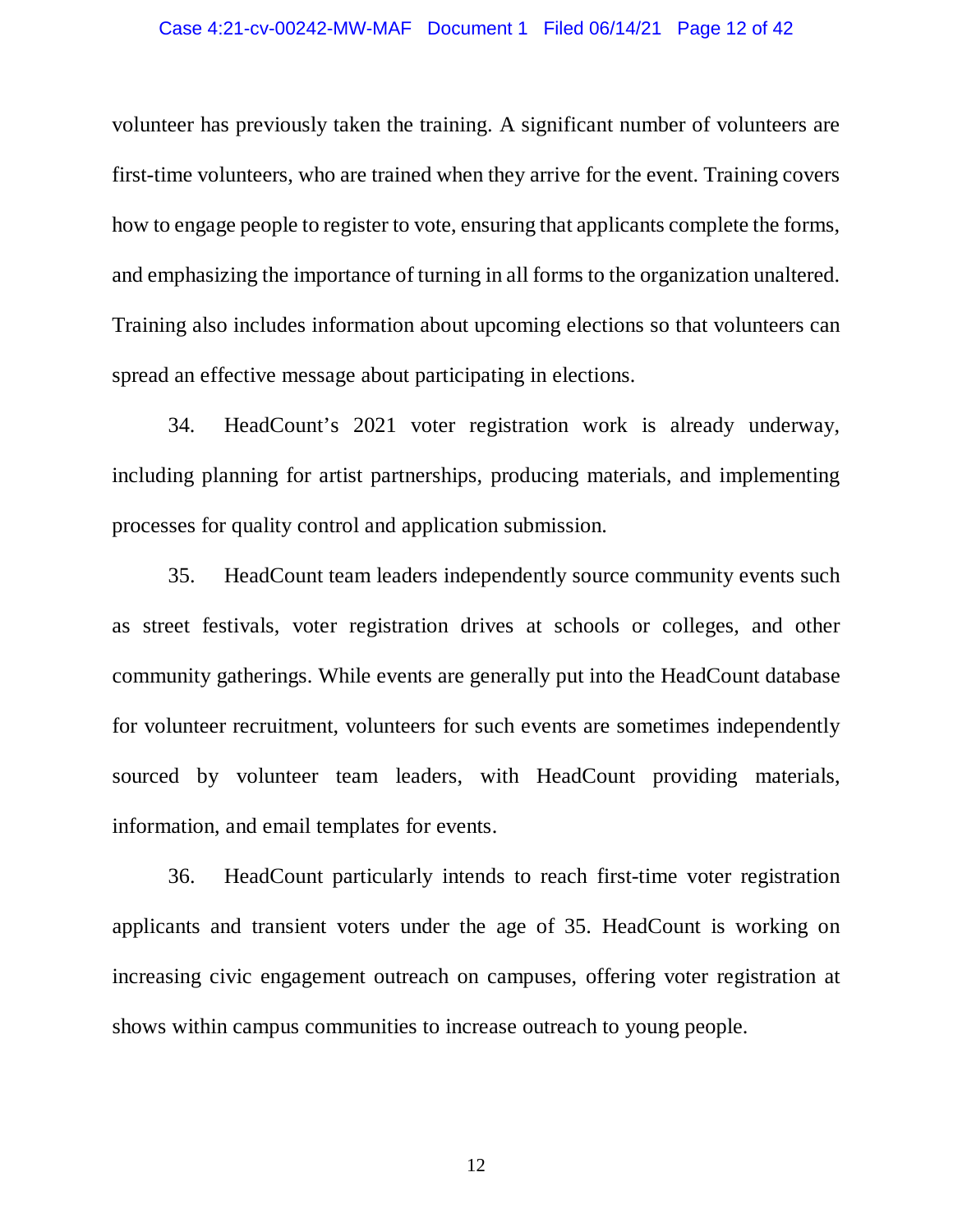volunteer has previously taken the training. A significant number of volunteers are first-time volunteers, who are trained when they arrive for the event. Training covers how to engage people to register to vote, ensuring that applicants complete the forms, and emphasizing the importance of turning in all forms to the organization unaltered. Training also includes information about upcoming elections so that volunteers can spread an effective message about participating in elections.

34. HeadCount's 2021 voter registration work is already underway, including planning for artist partnerships, producing materials, and implementing processes for quality control and application submission.

35. HeadCount team leaders independently source community events such as street festivals, voter registration drives at schools or colleges, and other community gatherings. While events are generally put into the HeadCount database for volunteer recruitment, volunteers for such events are sometimes independently sourced by volunteer team leaders, with HeadCount providing materials, information, and email templates for events.

36. HeadCount particularly intends to reach first-time voter registration applicants and transient voters under the age of 35. HeadCount is working on increasing civic engagement outreach on campuses, offering voter registration at shows within campus communities to increase outreach to young people.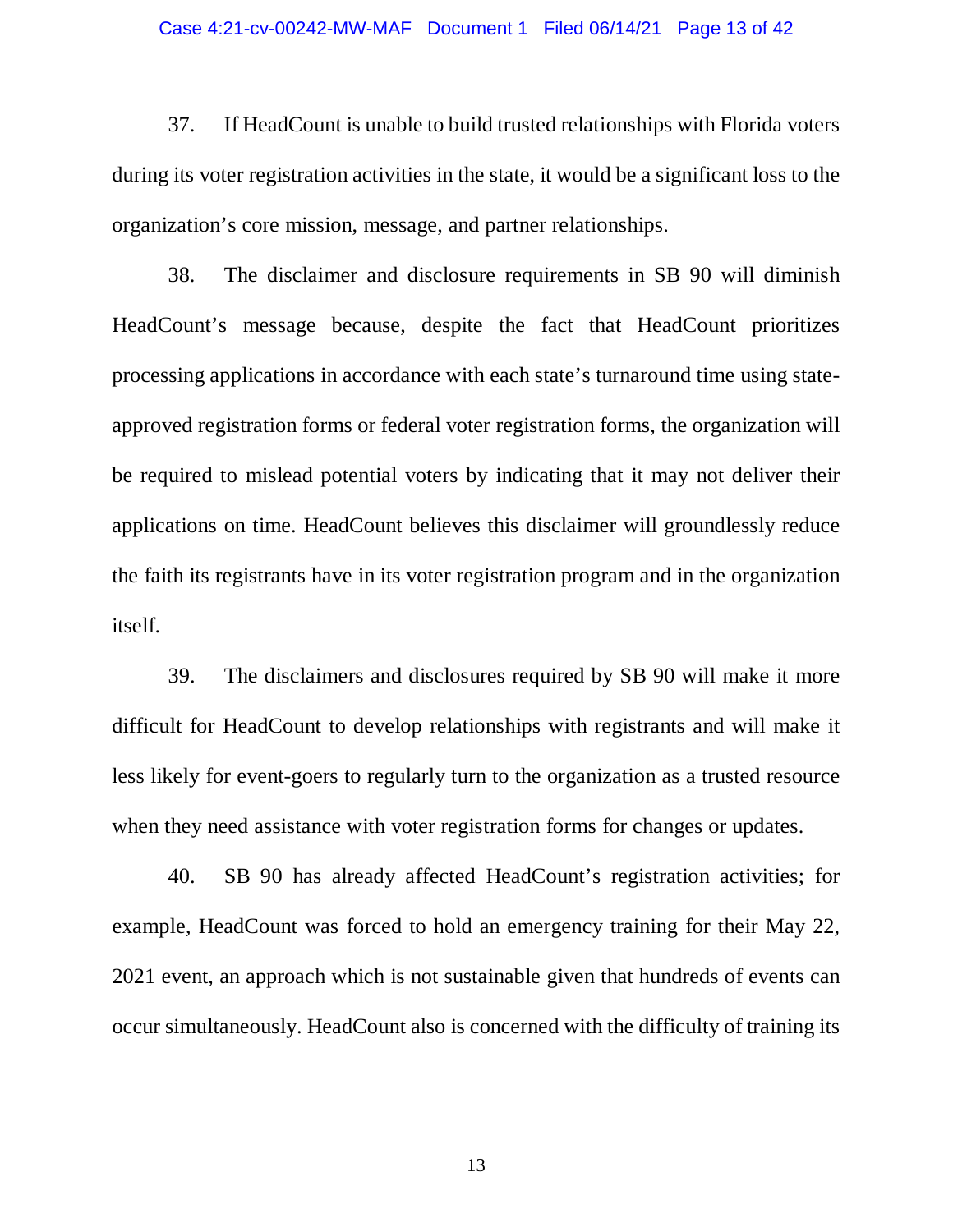### Case 4:21-cv-00242-MW-MAF Document 1 Filed 06/14/21 Page 13 of 42

37. If HeadCount is unable to build trusted relationships with Florida voters during its voter registration activities in the state, it would be a significant loss to the organization's core mission, message, and partner relationships.

38. The disclaimer and disclosure requirements in SB 90 will diminish HeadCount's message because, despite the fact that HeadCount prioritizes processing applications in accordance with each state's turnaround time using stateapproved registration forms or federal voter registration forms, the organization will be required to mislead potential voters by indicating that it may not deliver their applications on time. HeadCount believes this disclaimer will groundlessly reduce the faith its registrants have in its voter registration program and in the organization itself.

39. The disclaimers and disclosures required by SB 90 will make it more difficult for HeadCount to develop relationships with registrants and will make it less likely for event-goers to regularly turn to the organization as a trusted resource when they need assistance with voter registration forms for changes or updates.

40. SB 90 has already affected HeadCount's registration activities; for example, HeadCount was forced to hold an emergency training for their May 22, 2021 event, an approach which is not sustainable given that hundreds of events can occur simultaneously. HeadCount also is concerned with the difficulty of training its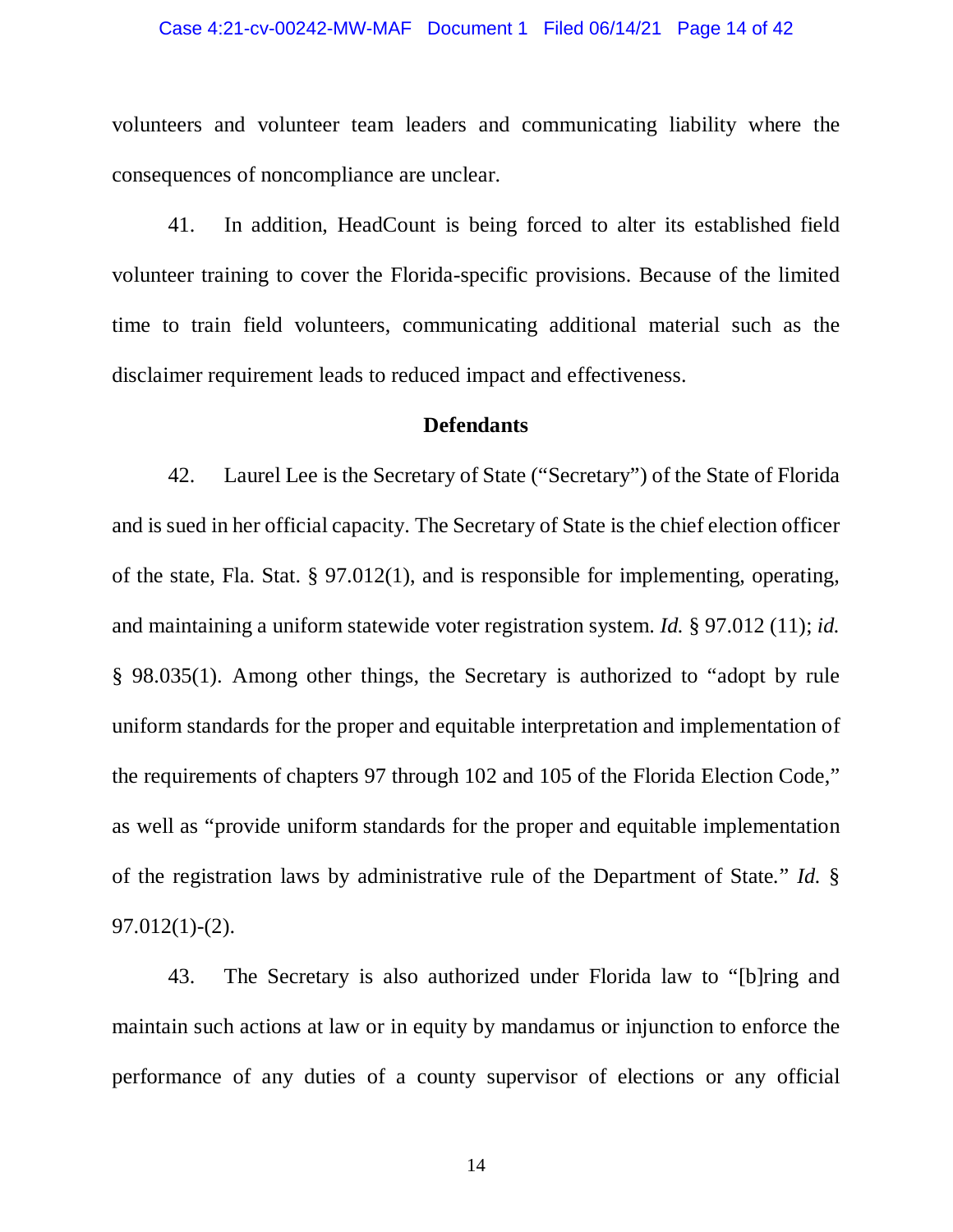### Case 4:21-cv-00242-MW-MAF Document 1 Filed 06/14/21 Page 14 of 42

volunteers and volunteer team leaders and communicating liability where the consequences of noncompliance are unclear.

41. In addition, HeadCount is being forced to alter its established field volunteer training to cover the Florida-specific provisions. Because of the limited time to train field volunteers, communicating additional material such as the disclaimer requirement leads to reduced impact and effectiveness.

### **Defendants**

42. Laurel Lee is the Secretary of State ("Secretary") of the State of Florida and is sued in her official capacity. The Secretary of State is the chief election officer of the state, Fla. Stat. § 97.012(1), and is responsible for implementing, operating, and maintaining a uniform statewide voter registration system. *Id.* § 97.012 (11); *id.* § 98.035(1). Among other things, the Secretary is authorized to "adopt by rule uniform standards for the proper and equitable interpretation and implementation of the requirements of chapters 97 through 102 and 105 of the Florida Election Code," as well as "provide uniform standards for the proper and equitable implementation of the registration laws by administrative rule of the Department of State*.*" *Id.* § 97.012(1)-(2).

43. The Secretary is also authorized under Florida law to "[b]ring and maintain such actions at law or in equity by mandamus or injunction to enforce the performance of any duties of a county supervisor of elections or any official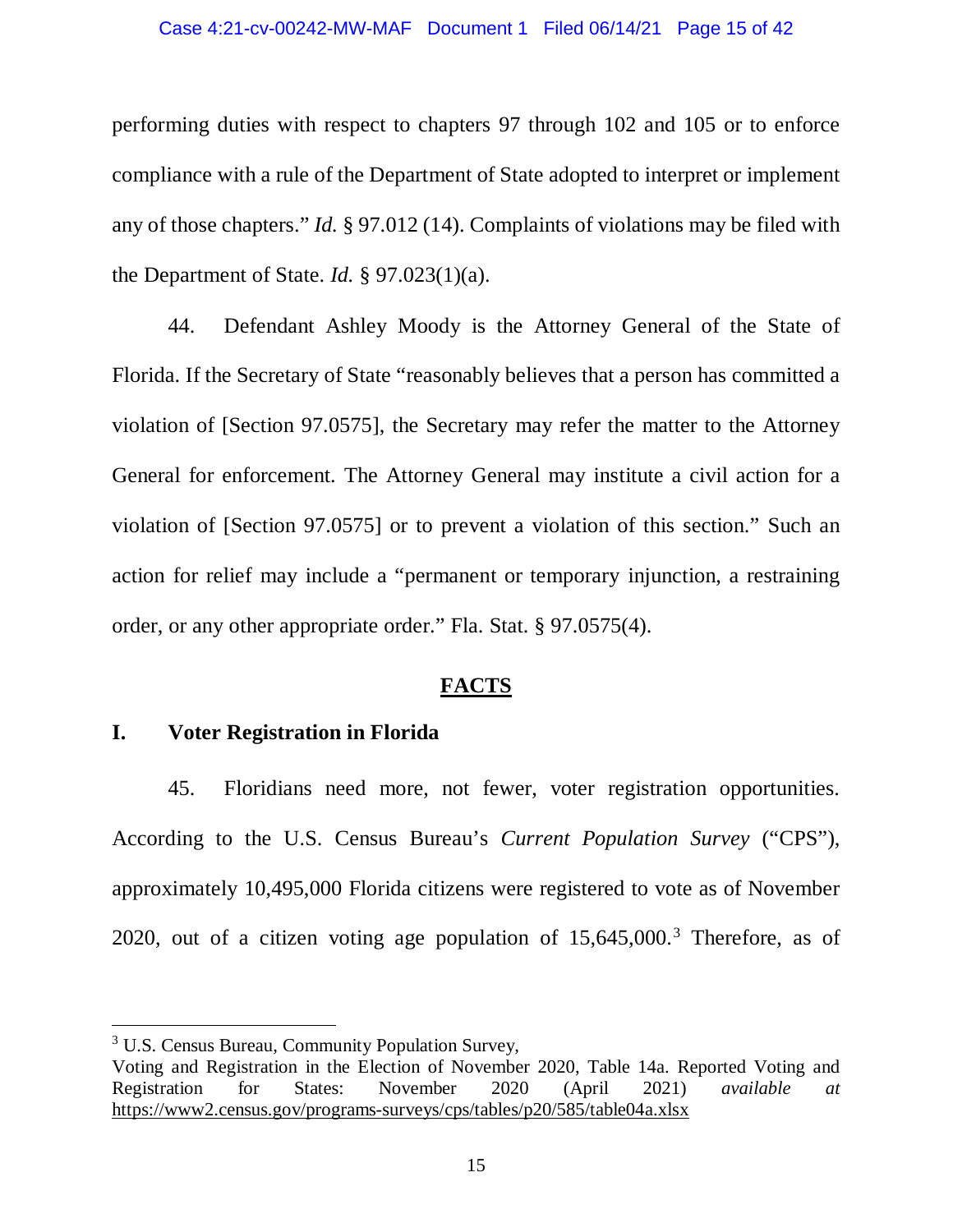### Case 4:21-cv-00242-MW-MAF Document 1 Filed 06/14/21 Page 15 of 42

performing duties with respect to chapters 97 through 102 and 105 or to enforce compliance with a rule of the Department of State adopted to interpret or implement any of those chapters." *Id.* § 97.012 (14). Complaints of violations may be filed with the Department of State. *Id.* § 97.023(1)(a).

44. Defendant Ashley Moody is the Attorney General of the State of Florida. If the Secretary of State "reasonably believes that a person has committed a violation of [Section 97.0575], the Secretary may refer the matter to the Attorney General for enforcement. The Attorney General may institute a civil action for a violation of [Section 97.0575] or to prevent a violation of this section." Such an action for relief may include a "permanent or temporary injunction, a restraining order, or any other appropriate order." Fla. Stat. § 97.0575(4).

## **FACTS**

### **I. Voter Registration in Florida**

45. Floridians need more, not fewer, voter registration opportunities. According to the U.S. Census Bureau's *Current Population Survey* ("CPS"), approximately 10,495,000 Florida citizens were registered to vote as of November 2020, out of a citizen voting age population of  $15,645,000$ .<sup>[3](#page-14-0)</sup> Therefore, as of

<span id="page-14-0"></span><sup>&</sup>lt;sup>3</sup> U.S. Census Bureau, Community Population Survey,

Voting and Registration in the Election of November 2020, Table 14a. Reported Voting and Registration for States: November 2020 (April 2021) *available at* Registration for States: November 2020 (April 2021) *available at* https://www2.census.gov/programs-surveys/cps/tables/p20/585/table04a.xlsx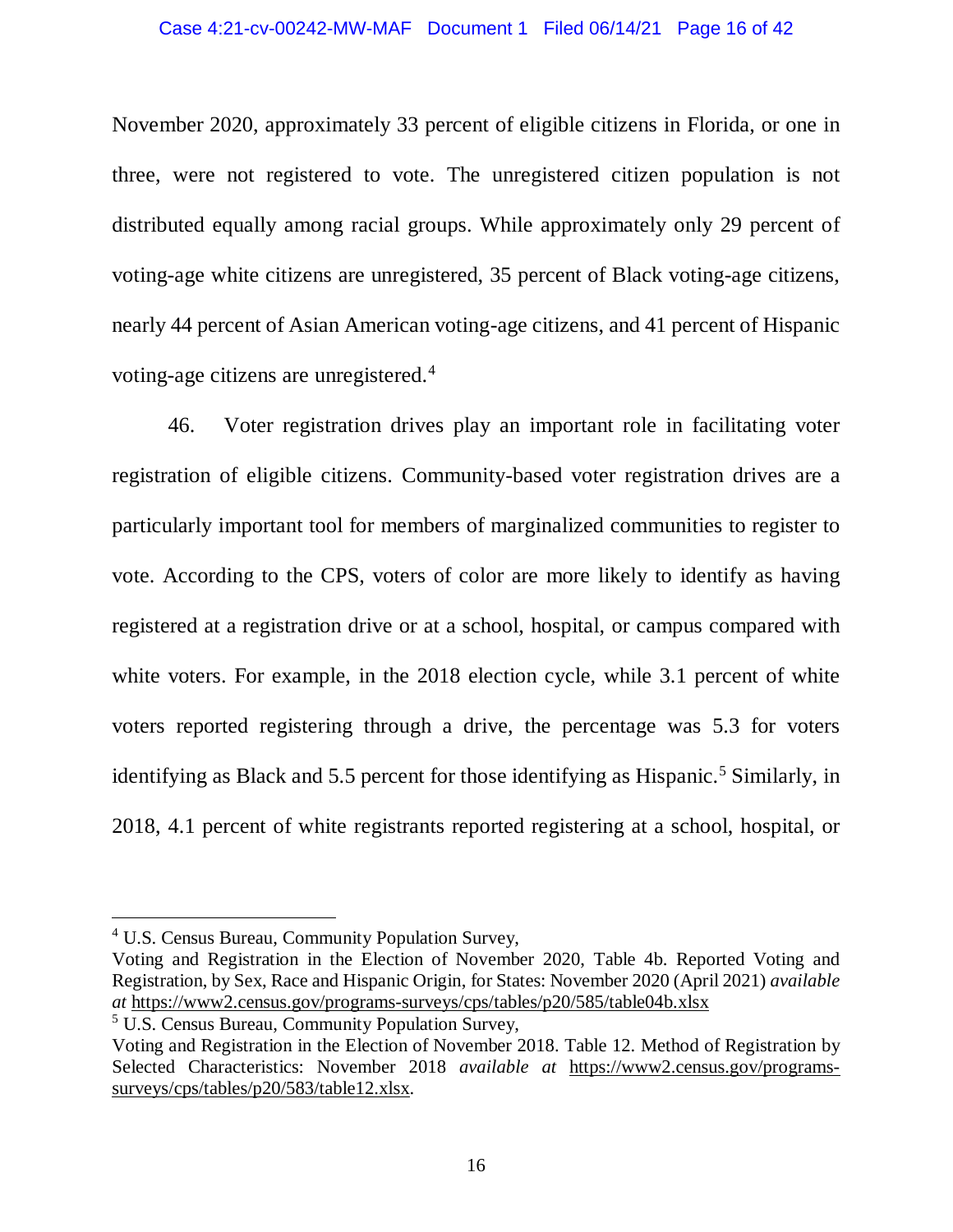November 2020, approximately 33 percent of eligible citizens in Florida, or one in three, were not registered to vote. The unregistered citizen population is not distributed equally among racial groups. While approximately only 29 percent of voting-age white citizens are unregistered, 35 percent of Black voting-age citizens, nearly 44 percent of Asian American voting-age citizens, and 41 percent of Hispanic voting-age citizens are unregistered.[4](#page-15-0)

46. Voter registration drives play an important role in facilitating voter registration of eligible citizens. Community-based voter registration drives are a particularly important tool for members of marginalized communities to register to vote. According to the CPS, voters of color are more likely to identify as having registered at a registration drive or at a school, hospital, or campus compared with white voters. For example, in the 2018 election cycle, while 3.1 percent of white voters reported registering through a drive, the percentage was 5.3 for voters identifying as Black and [5](#page-15-1).5 percent for those identifying as Hispanic.<sup>5</sup> Similarly, in 2018, 4.1 percent of white registrants reported registering at a school, hospital, or

<span id="page-15-1"></span><sup>5</sup> U.S. Census Bureau, Community Population Survey,

<span id="page-15-0"></span> <sup>4</sup> U.S. Census Bureau, Community Population Survey,

Voting and Registration in the Election of November 2020, Table 4b. Reported Voting and Registration, by Sex, Race and Hispanic Origin, for States: November 2020 (April 2021) *available at* https://www2.census.gov/programs-surveys/cps/tables/p20/585/table04b.xlsx

Voting and Registration in the Election of November 2018. Table 12. Method of Registration by Selected Characteristics: November 2018 *available at* https://www2.census.gov/programssurveys/cps/tables/p20/583/table12.xlsx.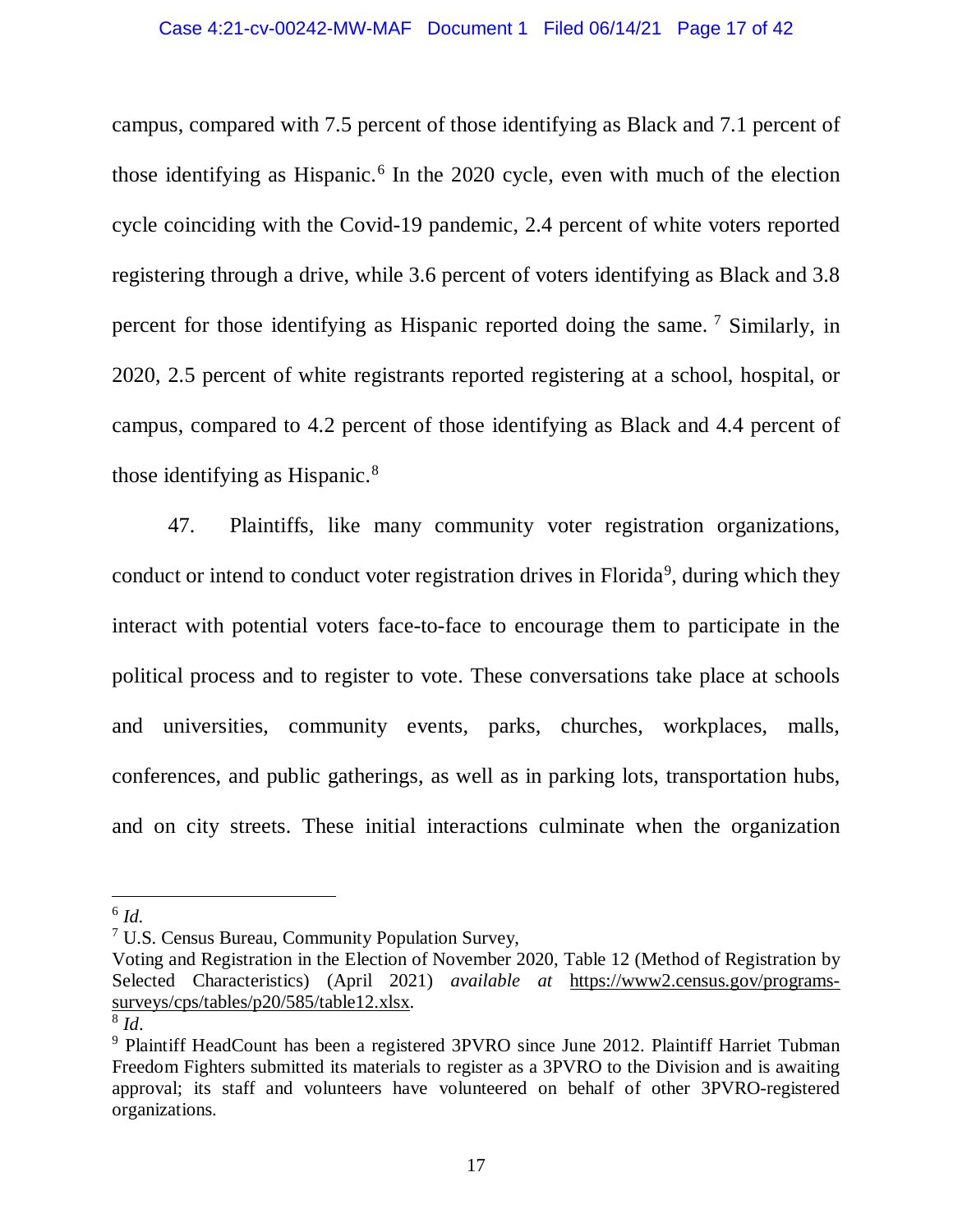campus, compared with 7.5 percent of those identifying as Black and 7.1 percent of those identifying as Hispanic.<sup>[6](#page-16-0)</sup> In the 2020 cycle, even with much of the election cycle coinciding with the Covid-19 pandemic, 2.4 percent of white voters reported registering through a drive, while 3.6 percent of voters identifying as Black and 3.8 percent for those identifying as Hispanic reported doing the same. [7](#page-16-1) Similarly, in 2020, 2.5 percent of white registrants reported registering at a school, hospital, or campus, compared to 4.2 percent of those identifying as Black and 4.4 percent of those identifying as Hispanic.[8](#page-16-2)

47. Plaintiffs, like many community voter registration organizations, conduct or intend to conduct voter registration drives in Florida<sup>[9](#page-16-3)</sup>, during which they interact with potential voters face-to-face to encourage them to participate in the political process and to register to vote. These conversations take place at schools and universities, community events, parks, churches, workplaces, malls, conferences, and public gatherings, as well as in parking lots, transportation hubs, and on city streets. These initial interactions culminate when the organization

<span id="page-16-0"></span> <sup>6</sup> *Id.*

<span id="page-16-1"></span> $7 \text{ U.S.}$  Census Bureau, Community Population Survey,

Voting and Registration in the Election of November 2020, Table 12 (Method of Registration by Selected Characteristics) (April 2021) *available at* https://www2.census.gov/programssurveys/cps/tables/p20/585/table12.xlsx.

<span id="page-16-2"></span><sup>8</sup> *Id*.

<span id="page-16-3"></span><sup>9</sup> Plaintiff HeadCount has been a registered 3PVRO since June 2012. Plaintiff Harriet Tubman Freedom Fighters submitted its materials to register as a 3PVRO to the Division and is awaiting approval; its staff and volunteers have volunteered on behalf of other 3PVRO-registered organizations.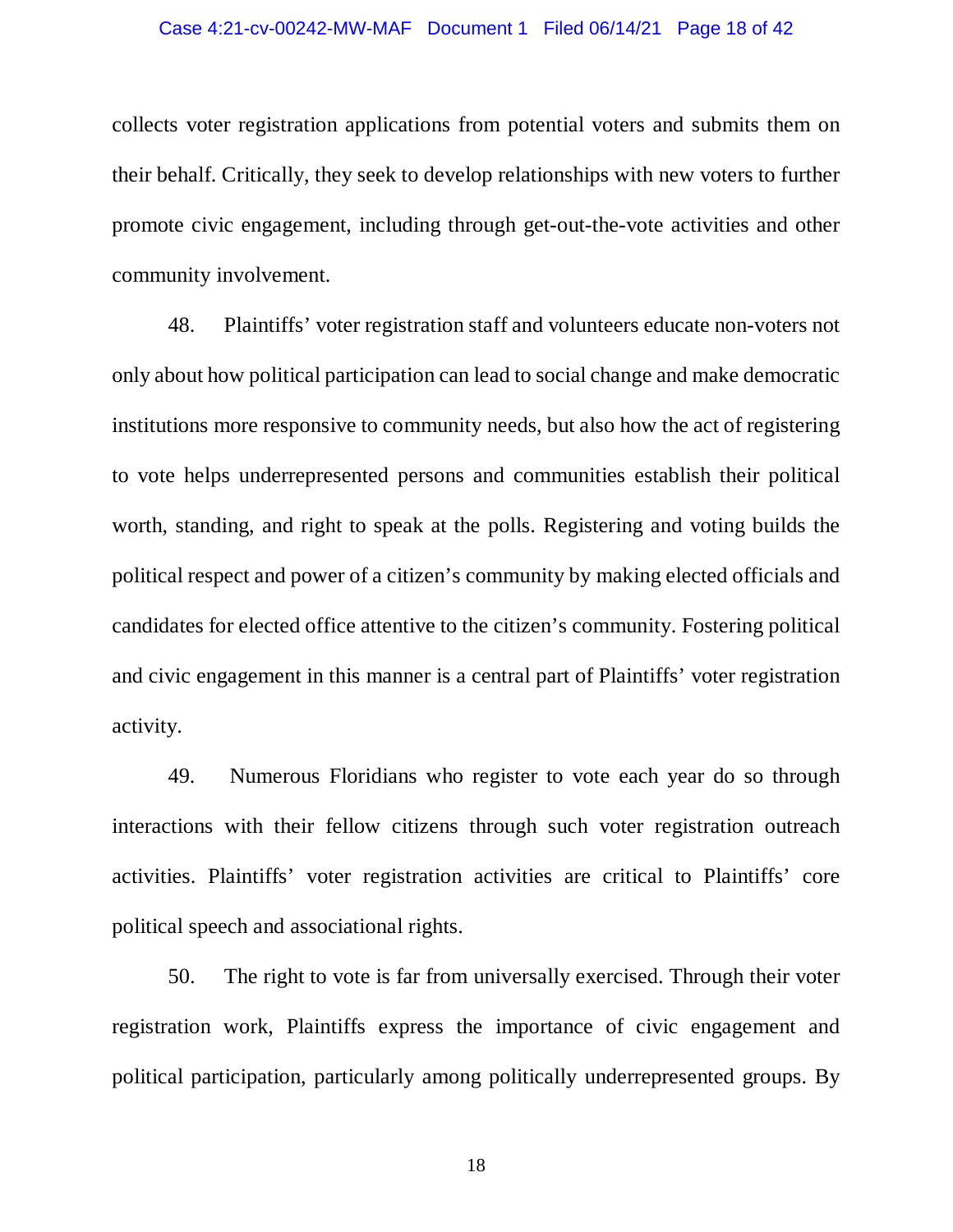### Case 4:21-cv-00242-MW-MAF Document 1 Filed 06/14/21 Page 18 of 42

collects voter registration applications from potential voters and submits them on their behalf. Critically, they seek to develop relationships with new voters to further promote civic engagement, including through get-out-the-vote activities and other community involvement.

48. Plaintiffs' voter registration staff and volunteers educate non-voters not only about how political participation can lead to social change and make democratic institutions more responsive to community needs, but also how the act of registering to vote helps underrepresented persons and communities establish their political worth, standing, and right to speak at the polls. Registering and voting builds the political respect and power of a citizen's community by making elected officials and candidates for elected office attentive to the citizen's community. Fostering political and civic engagement in this manner is a central part of Plaintiffs' voter registration activity.

49. Numerous Floridians who register to vote each year do so through interactions with their fellow citizens through such voter registration outreach activities. Plaintiffs' voter registration activities are critical to Plaintiffs' core political speech and associational rights.

50. The right to vote is far from universally exercised. Through their voter registration work, Plaintiffs express the importance of civic engagement and political participation, particularly among politically underrepresented groups. By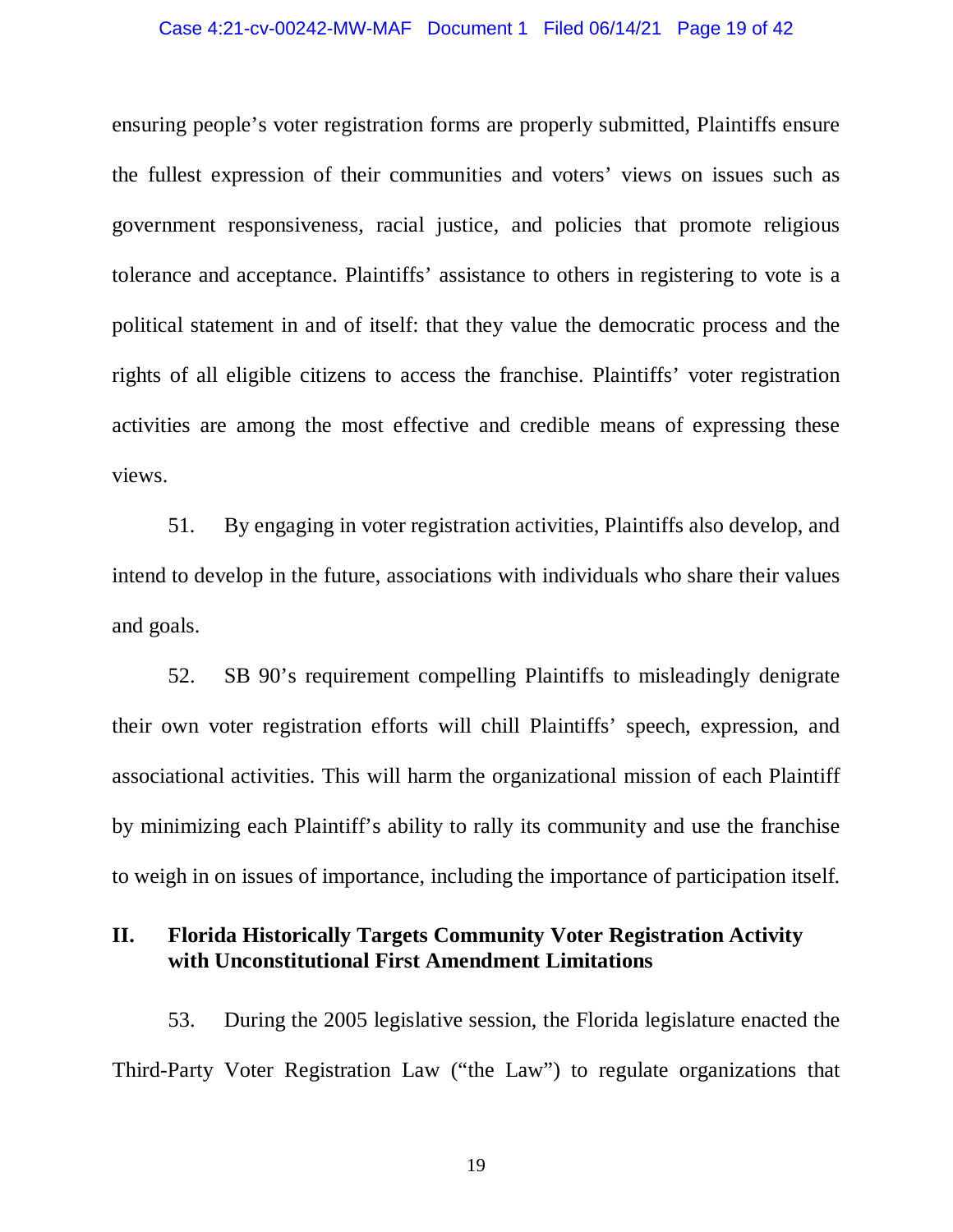### Case 4:21-cv-00242-MW-MAF Document 1 Filed 06/14/21 Page 19 of 42

ensuring people's voter registration forms are properly submitted, Plaintiffs ensure the fullest expression of their communities and voters' views on issues such as government responsiveness, racial justice, and policies that promote religious tolerance and acceptance. Plaintiffs' assistance to others in registering to vote is a political statement in and of itself: that they value the democratic process and the rights of all eligible citizens to access the franchise. Plaintiffs' voter registration activities are among the most effective and credible means of expressing these views.

51. By engaging in voter registration activities, Plaintiffs also develop, and intend to develop in the future, associations with individuals who share their values and goals.

52. SB 90's requirement compelling Plaintiffs to misleadingly denigrate their own voter registration efforts will chill Plaintiffs' speech, expression, and associational activities. This will harm the organizational mission of each Plaintiff by minimizing each Plaintiff's ability to rally its community and use the franchise to weigh in on issues of importance, including the importance of participation itself.

# **II. Florida Historically Targets Community Voter Registration Activity with Unconstitutional First Amendment Limitations**

53. During the 2005 legislative session, the Florida legislature enacted the Third-Party Voter Registration Law ("the Law") to regulate organizations that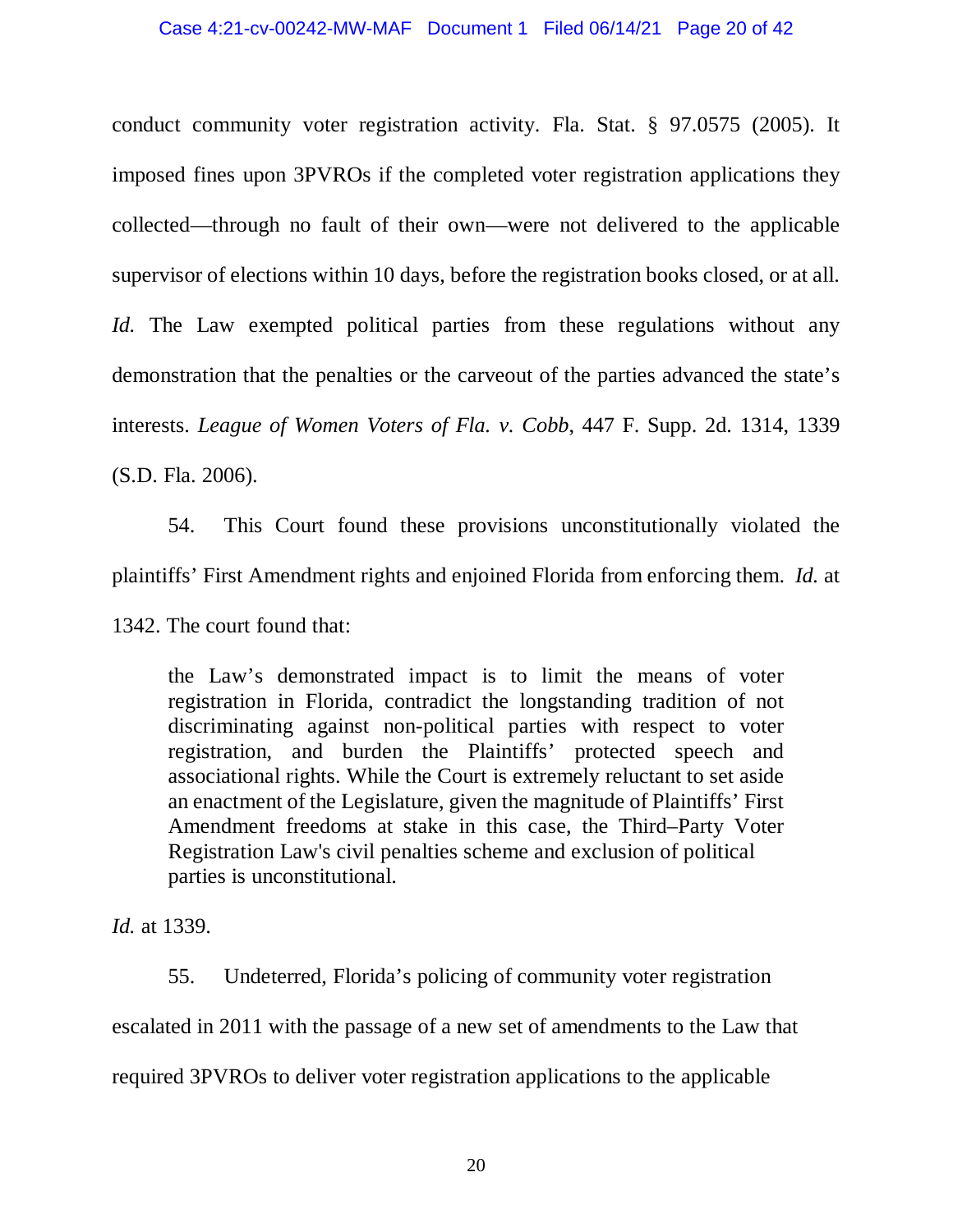conduct community voter registration activity. Fla. Stat. § 97.0575 (2005). It imposed fines upon 3PVROs if the completed voter registration applications they collected—through no fault of their own—were not delivered to the applicable supervisor of elections within 10 days, before the registration books closed, or at all. *Id.* The Law exempted political parties from these regulations without any demonstration that the penalties or the carveout of the parties advanced the state's interests. *League of Women Voters of Fla. v. Cobb*, 447 F. Supp. 2d. 1314, 1339 (S.D. Fla. 2006).

54. This Court found these provisions unconstitutionally violated the plaintiffs' First Amendment rights and enjoined Florida from enforcing them. *Id.* at

1342. The court found that:

the Law's demonstrated impact is to limit the means of voter registration in Florida, contradict the longstanding tradition of not discriminating against non-political parties with respect to voter registration, and burden the Plaintiffs' protected speech and associational rights. While the Court is extremely reluctant to set aside an enactment of the Legislature, given the magnitude of Plaintiffs' First Amendment freedoms at stake in this case, the Third–Party Voter Registration Law's civil penalties scheme and exclusion of political parties is unconstitutional.

*Id.* at 1339.

55. Undeterred, Florida's policing of community voter registration escalated in 2011 with the passage of a new set of amendments to the Law that required 3PVROs to deliver voter registration applications to the applicable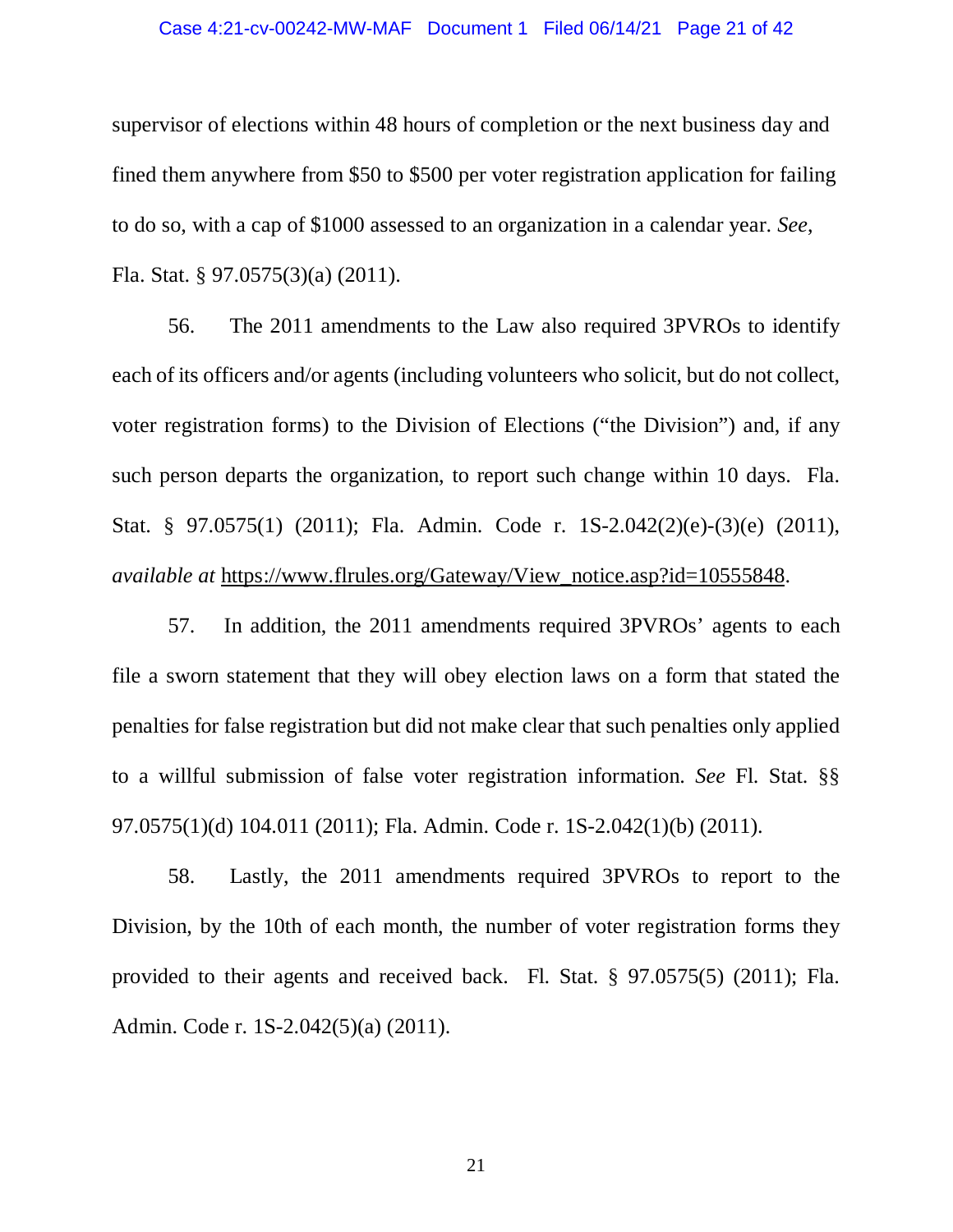### Case 4:21-cv-00242-MW-MAF Document 1 Filed 06/14/21 Page 21 of 42

supervisor of elections within 48 hours of completion or the next business day and fined them anywhere from \$50 to \$500 per voter registration application for failing to do so, with a cap of \$1000 assessed to an organization in a calendar year. *See*, Fla. Stat. § 97.0575(3)(a) (2011).

56. The 2011 amendments to the Law also required 3PVROs to identify each of its officers and/or agents (including volunteers who solicit, but do not collect, voter registration forms) to the Division of Elections ("the Division") and, if any such person departs the organization, to report such change within 10 days. Fla. Stat. § 97.0575(1) (2011); Fla. Admin. Code r. 1S-2.042(2)(e)-(3)(e) (2011), *available at https://www.flrules.org/Gateway/View\_notice.asp?id=10555848.* 

57. In addition, the 2011 amendments required 3PVROs' agents to each file a sworn statement that they will obey election laws on a form that stated the penalties for false registration but did not make clear that such penalties only applied to a willful submission of false voter registration information. *See* Fl. Stat. §§ 97.0575(1)(d) 104.011 (2011); Fla. Admin. Code r. 1S-2.042(1)(b) (2011).

58. Lastly, the 2011 amendments required 3PVROs to report to the Division, by the 10th of each month, the number of voter registration forms they provided to their agents and received back. Fl. Stat. § 97.0575(5) (2011); Fla. Admin. Code r. 1S-2.042(5)(a) (2011).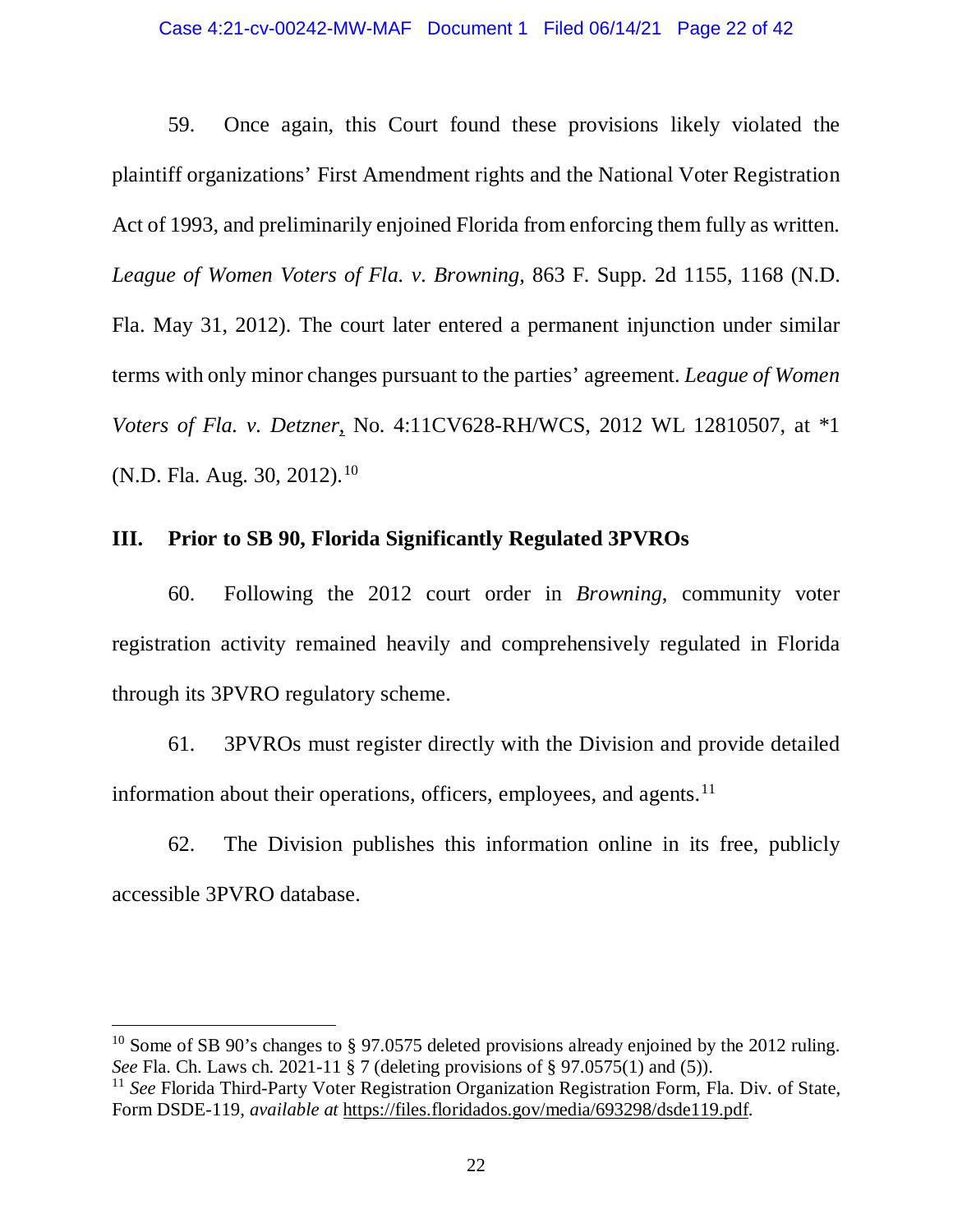59. Once again, this Court found these provisions likely violated the plaintiff organizations' First Amendment rights and the National Voter Registration Act of 1993, and preliminarily enjoined Florida from enforcing them fully as written. *League of Women Voters of Fla. v. Browning*, 863 F. Supp. 2d 1155, 1168 (N.D. Fla. May 31, 2012). The court later entered a permanent injunction under similar terms with only minor changes pursuant to the parties' agreement. *League of Women Voters of Fla. v. Detzner*, No. 4:11CV628-RH/WCS, 2012 WL 12810507, at \*1 (N.D. Fla. Aug. 30, 2012).<sup>[10](#page-21-0)</sup>

## **III. Prior to SB 90, Florida Significantly Regulated 3PVROs**

60. Following the 2012 court order in *Browning*, community voter registration activity remained heavily and comprehensively regulated in Florida through its 3PVRO regulatory scheme.

61. 3PVROs must register directly with the Division and provide detailed information about their operations, officers, employees, and agents.<sup>[11](#page-21-1)</sup>

62. The Division publishes this information online in its free, publicly accessible 3PVRO database.

<span id="page-21-0"></span><sup>&</sup>lt;sup>10</sup> Some of SB 90's changes to § 97.0575 deleted provisions already enjoined by the 2012 ruling. *See* Fla. Ch. Laws ch. 2021-11 § 7 (deleting provisions of § 97.0575(1) and (5)).

<span id="page-21-1"></span><sup>&</sup>lt;sup>11</sup> *See* Florida Third-Party Voter Registration Organization Registration Form, Fla. Div. of State, Form DSDE-119, *available at* https://files.floridados.gov/media/693298/dsde119.pdf.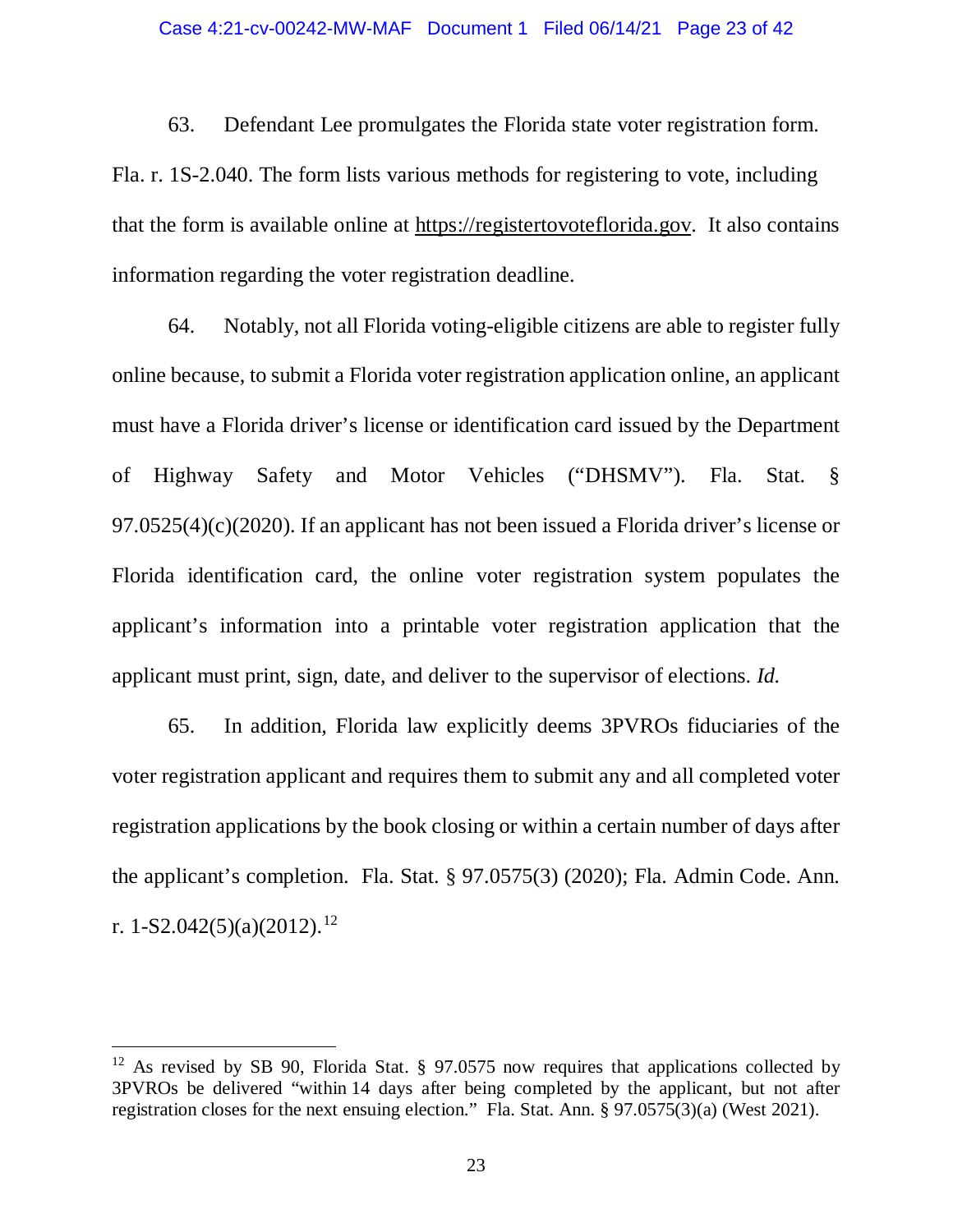63. Defendant Lee promulgates the Florida state voter registration form.

Fla. r. 1S-2.040. The form lists various methods for registering to vote, including that the form is available online at https://registertovoteflorida.gov. It also contains information regarding the voter registration deadline.

64. Notably, not all Florida voting-eligible citizens are able to register fully online because, to submit a Florida voter registration application online, an applicant must have a Florida driver's license or identification card issued by the Department of Highway Safety and Motor Vehicles ("DHSMV"). Fla. Stat. § 97.0525(4)(c)(2020). If an applicant has not been issued a Florida driver's license or Florida identification card, the online voter registration system populates the applicant's information into a printable voter registration application that the applicant must print, sign, date, and deliver to the supervisor of elections. *Id.*

65. In addition, Florida law explicitly deems 3PVROs fiduciaries of the voter registration applicant and requires them to submit any and all completed voter registration applications by the book closing or within a certain number of days after the applicant's completion. Fla. Stat. § 97.0575(3) (2020); Fla. Admin Code. Ann. r. 1-S2.042(5)(a)(2012). [12](#page-22-0)

<span id="page-22-0"></span><sup>&</sup>lt;sup>12</sup> As revised by SB 90, Florida Stat. § 97.0575 now requires that applications collected by 3PVROs be delivered "within 14 days after being completed by the applicant, but not after registration closes for the next ensuing election." Fla. Stat. Ann. § 97.0575(3)(a) (West 2021).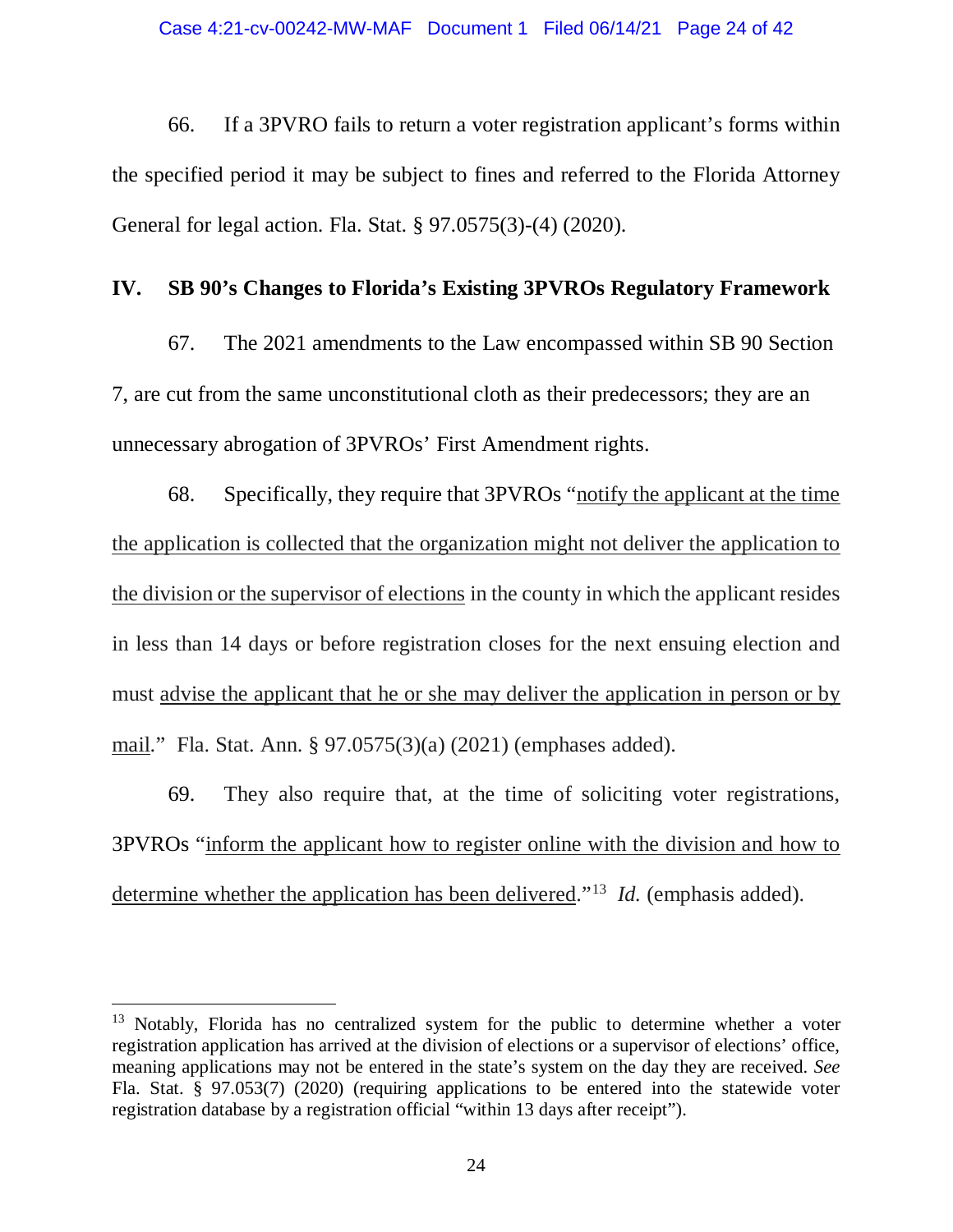66. If a 3PVRO fails to return a voter registration applicant's forms within the specified period it may be subject to fines and referred to the Florida Attorney General for legal action. Fla. Stat. § 97.0575(3)-(4) (2020).

## **IV. SB 90's Changes to Florida's Existing 3PVROs Regulatory Framework**

67. The 2021 amendments to the Law encompassed within SB 90 Section 7, are cut from the same unconstitutional cloth as their predecessors; they are an unnecessary abrogation of 3PVROs' First Amendment rights.

68. Specifically, they require that 3PVROs "notify the applicant at the time the application is collected that the organization might not deliver the application to the division or the supervisor of elections in the county in which the applicant resides in less than 14 days or before registration closes for the next ensuing election and must advise the applicant that he or she may deliver the application in person or by mail." Fla. Stat. Ann. § 97.0575(3)(a) (2021) (emphases added).

69. They also require that, at the time of soliciting voter registrations, 3PVROs "inform the applicant how to register online with the division and how to determine whether the application has been delivered."<sup>13</sup> *Id.* (emphasis added).

<span id="page-23-0"></span><sup>&</sup>lt;sup>13</sup> Notably, Florida has no centralized system for the public to determine whether a voter registration application has arrived at the division of elections or a supervisor of elections' office, meaning applications may not be entered in the state's system on the day they are received. *See*  Fla. Stat. § 97.053(7) (2020) (requiring applications to be entered into the statewide voter registration database by a registration official "within 13 days after receipt").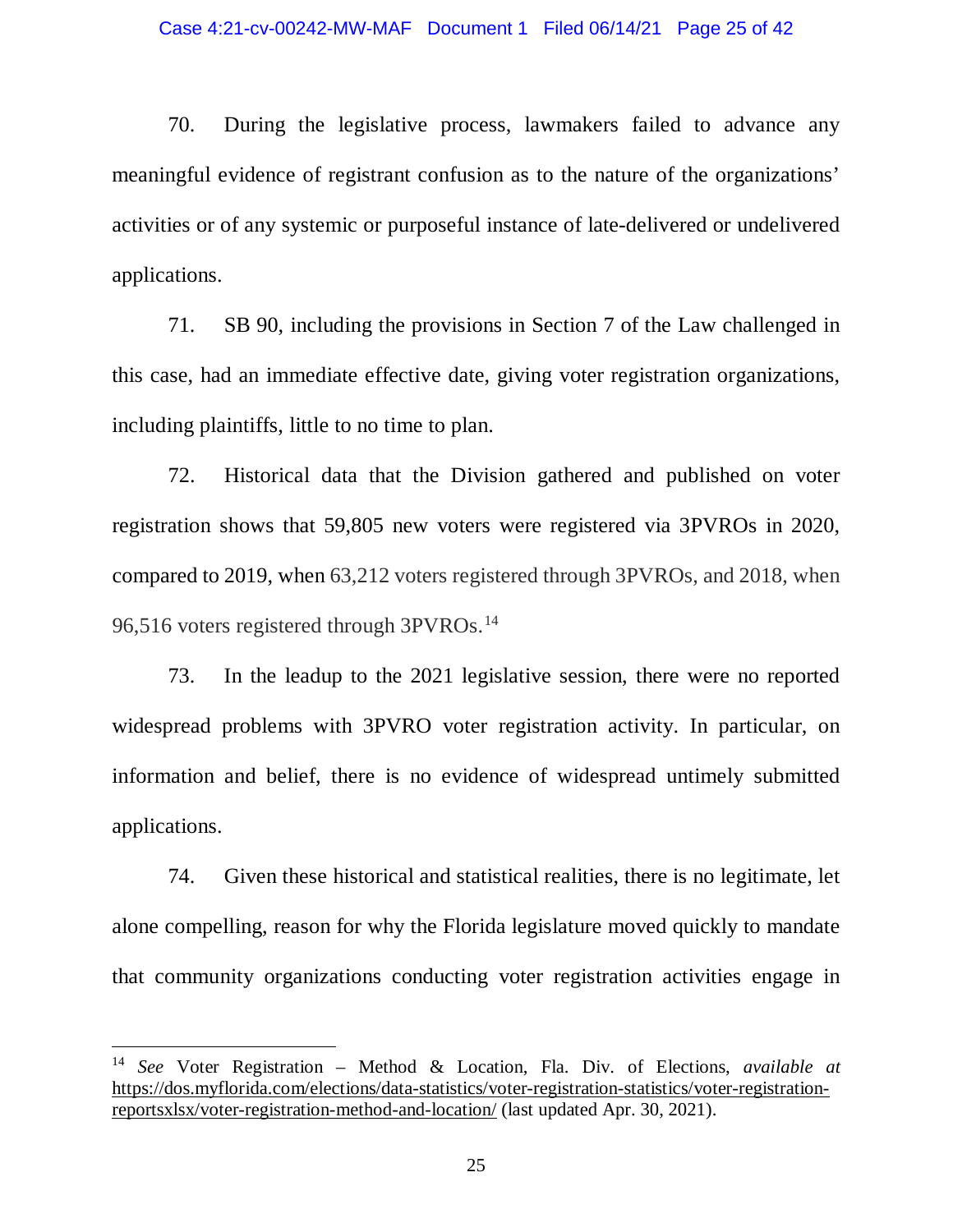70. During the legislative process, lawmakers failed to advance any meaningful evidence of registrant confusion as to the nature of the organizations' activities or of any systemic or purposeful instance of late-delivered or undelivered applications.

71. SB 90, including the provisions in Section 7 of the Law challenged in this case, had an immediate effective date, giving voter registration organizations, including plaintiffs, little to no time to plan.

72. Historical data that the Division gathered and published on voter registration shows that 59,805 new voters were registered via 3PVROs in 2020, compared to 2019, when 63,212 voters registered through 3PVROs, and 2018, when 96,516 voters registered through 3PVROs.<sup>[14](#page-24-0)</sup>

73. In the leadup to the 2021 legislative session, there were no reported widespread problems with 3PVRO voter registration activity. In particular, on information and belief, there is no evidence of widespread untimely submitted applications.

74. Given these historical and statistical realities, there is no legitimate, let alone compelling, reason for why the Florida legislature moved quickly to mandate that community organizations conducting voter registration activities engage in

<span id="page-24-0"></span> <sup>14</sup> *See* Voter Registration – Method & Location, Fla. Div. of Elections, *available at* https://dos.myflorida.com/elections/data-statistics/voter-registration-statistics/voter-registrationreportsxlsx/voter-registration-method-and-location/ (last updated Apr. 30, 2021).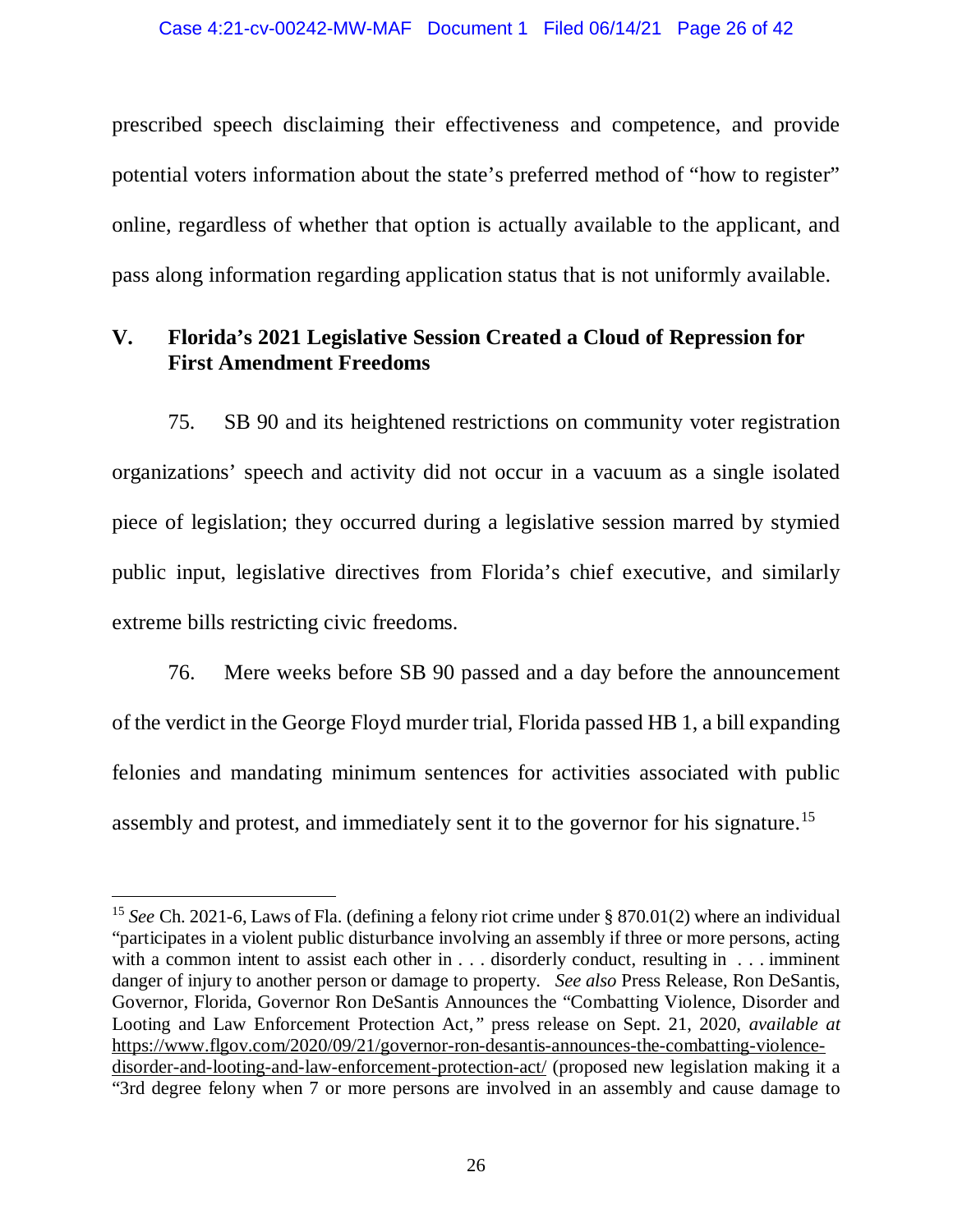prescribed speech disclaiming their effectiveness and competence, and provide potential voters information about the state's preferred method of "how to register" online, regardless of whether that option is actually available to the applicant, and pass along information regarding application status that is not uniformly available.

# **V. Florida's 2021 Legislative Session Created a Cloud of Repression for First Amendment Freedoms**

75. SB 90 and its heightened restrictions on community voter registration organizations' speech and activity did not occur in a vacuum as a single isolated piece of legislation; they occurred during a legislative session marred by stymied public input, legislative directives from Florida's chief executive, and similarly extreme bills restricting civic freedoms.

76. Mere weeks before SB 90 passed and a day before the announcement of the verdict in the George Floyd murder trial, Florida passed HB 1, a bill expanding felonies and mandating minimum sentences for activities associated with public assembly and protest, and immediately sent it to the governor for his signature.[15](#page-25-0)

<span id="page-25-0"></span> <sup>15</sup> *See* Ch. 2021-6, Laws of Fla. (defining a felony riot crime under § 870.01(2) where an individual "participates in a violent public disturbance involving an assembly if three or more persons, acting with a common intent to assist each other in . . . disorderly conduct, resulting in . . . imminent danger of injury to another person or damage to property. *See also* Press Release, Ron DeSantis, Governor, Florida, Governor Ron DeSantis Announces the "Combatting Violence, Disorder and Looting and Law Enforcement Protection Act*,"* press release on Sept. 21, 2020, *available at*  [https://www.flgov.com/2020/09/21/governor-ron-desantis-announces-the-combatting-violence](https://www.flgov.com/2020/09/21/governor-ron-desantis-announces-the-combatting-violence-disorder-and-looting-and-law-enforcement-protection-act/)[disorder-and-looting-and-law-enforcement-protection-act/](https://www.flgov.com/2020/09/21/governor-ron-desantis-announces-the-combatting-violence-disorder-and-looting-and-law-enforcement-protection-act/) (proposed new legislation making it a "3rd degree felony when 7 or more persons are involved in an assembly and cause damage to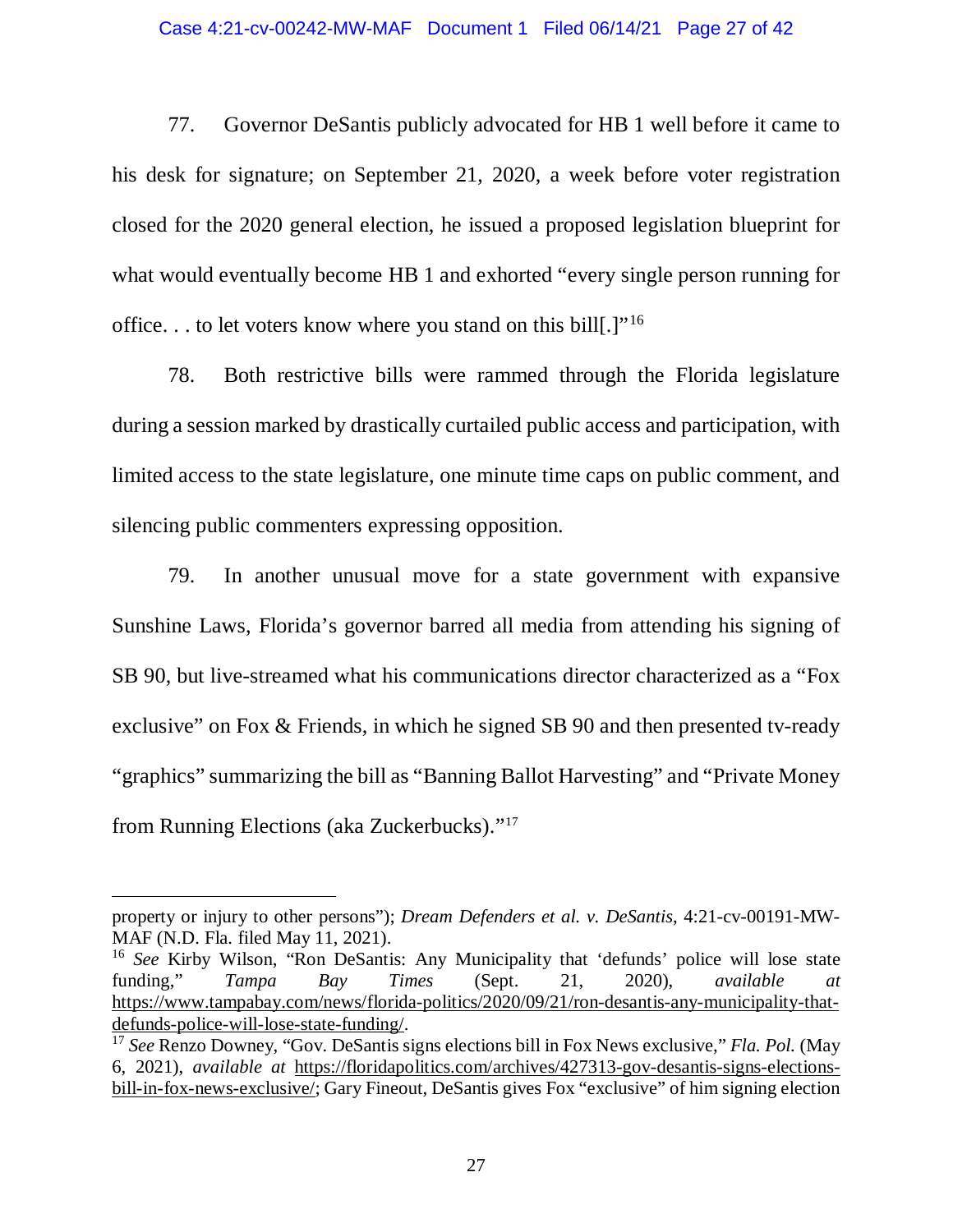77. Governor DeSantis publicly advocated for HB 1 well before it came to his desk for signature; on September 21, 2020, a week before voter registration closed for the 2020 general election, he issued a proposed legislation blueprint for what would eventually become HB 1 and exhorted "every single person running for office. . . to let voters know where you stand on this bill[.]"[16](#page-26-0)

78. Both restrictive bills were rammed through the Florida legislature during a session marked by drastically curtailed public access and participation, with limited access to the state legislature, one minute time caps on public comment, and silencing public commenters expressing opposition.

79. In another unusual move for a state government with expansive Sunshine Laws, Florida's governor barred all media from attending his signing of SB 90, but live-streamed what his communications director characterized as a "Fox exclusive" on Fox & Friends, in which he signed SB 90 and then presented tv-ready "graphics" summarizing the bill as "Banning Ballot Harvesting" and "Private Money from Running Elections (aka Zuckerbucks)."[17](#page-26-1)

 $\overline{a}$ 

property or injury to other persons"); *Dream Defenders et al. v. DeSantis*, 4:21-cv-00191-MW-MAF (N.D. Fla. filed May 11, 2021).

<span id="page-26-0"></span><sup>&</sup>lt;sup>16</sup> See Kirby Wilson, "Ron DeSantis: Any Municipality that 'defunds' police will lose state funding," *Tampa Bay Times* (Sept. 21, 2020), *available at* https://www.tampabay.com/news/florida-politics/2020/09/21/ron-desantis-any-municipality-thatdefunds-police-will-lose-state-funding/.

<span id="page-26-1"></span><sup>17</sup> *See* Renzo Downey, "Gov. DeSantis signs elections bill in Fox News exclusive," *Fla. Pol.* (May 6, 2021), *available at* [https://floridapolitics.com/archives/427313-gov-desantis-signs-elections](https://floridapolitics.com/archives/427313-gov-desantis-signs-elections-bill-in-fox-news-exclusive/)[bill-in-fox-news-exclusive/;](https://floridapolitics.com/archives/427313-gov-desantis-signs-elections-bill-in-fox-news-exclusive/) Gary Fineout, DeSantis gives Fox "exclusive" of him signing election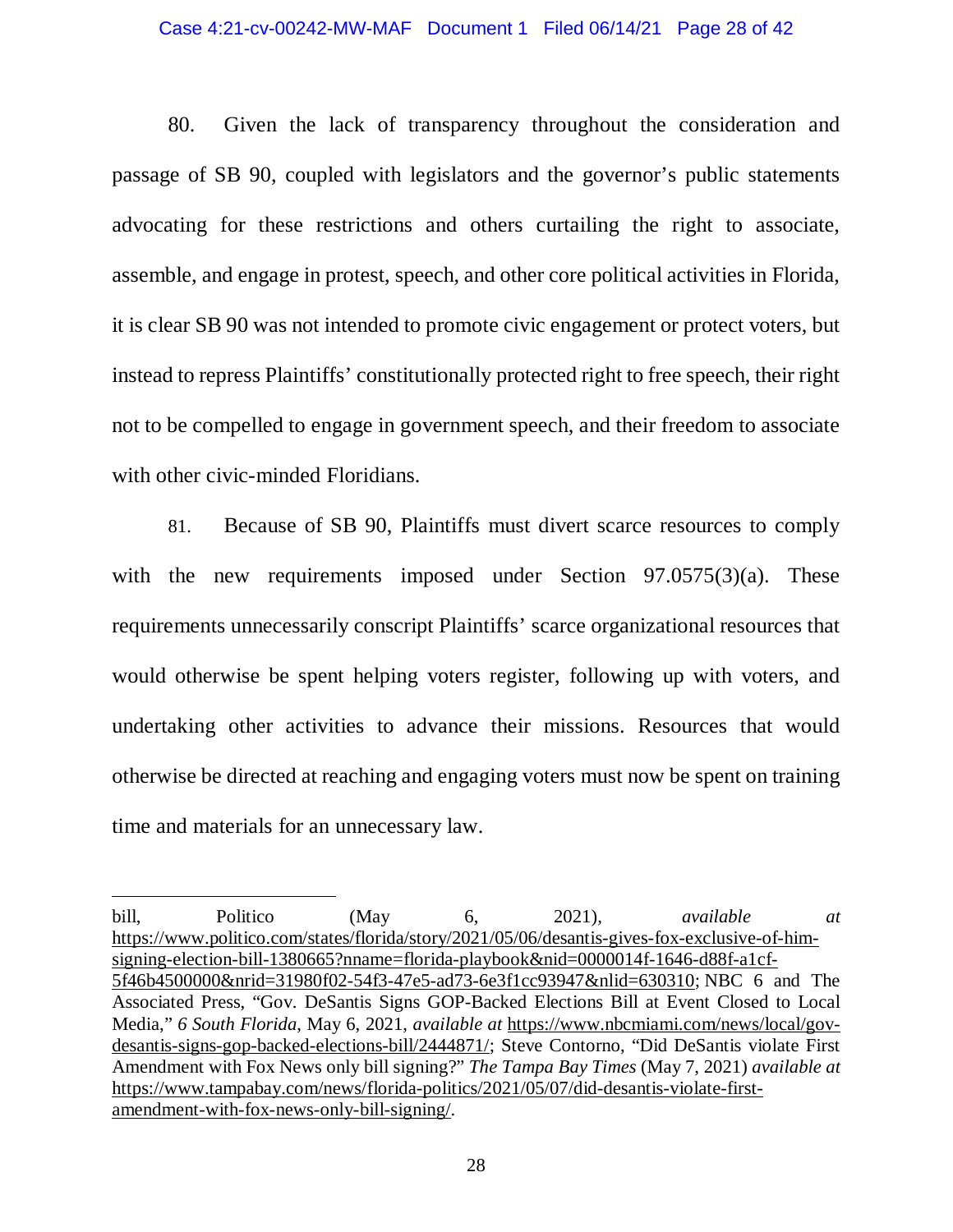### Case 4:21-cv-00242-MW-MAF Document 1 Filed 06/14/21 Page 28 of 42

80. Given the lack of transparency throughout the consideration and passage of SB 90, coupled with legislators and the governor's public statements advocating for these restrictions and others curtailing the right to associate, assemble, and engage in protest, speech, and other core political activities in Florida, it is clear SB 90 was not intended to promote civic engagement or protect voters, but instead to repress Plaintiffs' constitutionally protected right to free speech, their right not to be compelled to engage in government speech, and their freedom to associate with other civic-minded Floridians.

81. Because of SB 90, Plaintiffs must divert scarce resources to comply with the new requirements imposed under Section 97.0575(3)(a). These requirements unnecessarily conscript Plaintiffs' scarce organizational resources that would otherwise be spent helping voters register, following up with voters, and undertaking other activities to advance their missions. Resources that would otherwise be directed at reaching and engaging voters must now be spent on training time and materials for an unnecessary law.

 $\overline{a}$ 

bill, Politico (May 6, 2021), *available at*  [https://www.politico.com/states/florida/story/2021/05/06/desantis-gives-fox-exclusive-of-him](https://www.politico.com/states/florida/story/2021/05/06/desantis-gives-fox-exclusive-of-him-signing-election-bill-1380665?nname=florida-playbook&nid=0000014f-1646-d88f-a1cf-5f46b4500000&nrid=31980f02-54f3-47e5-ad73-6e3f1cc93947&nlid=630310)[signing-election-bill-1380665?nname=florida-playbook&nid=0000014f-1646-d88f-a1cf-](https://www.politico.com/states/florida/story/2021/05/06/desantis-gives-fox-exclusive-of-him-signing-election-bill-1380665?nname=florida-playbook&nid=0000014f-1646-d88f-a1cf-5f46b4500000&nrid=31980f02-54f3-47e5-ad73-6e3f1cc93947&nlid=630310)[5f46b4500000&nrid=31980f02-54f3-47e5-ad73-6e3f1cc93947&nlid=630310;](https://www.politico.com/states/florida/story/2021/05/06/desantis-gives-fox-exclusive-of-him-signing-election-bill-1380665?nname=florida-playbook&nid=0000014f-1646-d88f-a1cf-5f46b4500000&nrid=31980f02-54f3-47e5-ad73-6e3f1cc93947&nlid=630310) NBC 6 and The Associated Press, "Gov. DeSantis Signs GOP-Backed Elections Bill at Event Closed to Local Media," *6 South Florida*, May 6, 2021, *available at* [https://www.nbcmiami.com/news/local/gov](https://www.nbcmiami.com/news/local/gov-desantis-signs-gop-backed-elections-bill/2444871/)[desantis-signs-gop-backed-elections-bill/2444871/;](https://www.nbcmiami.com/news/local/gov-desantis-signs-gop-backed-elections-bill/2444871/) Steve Contorno, "Did DeSantis violate First Amendment with Fox News only bill signing?" *The Tampa Bay Times* (May 7, 2021) *available at*  https://www.tampabay.com/news/florida-politics/2021/05/07/did-desantis-violate-firstamendment-with-fox-news-only-bill-signing/.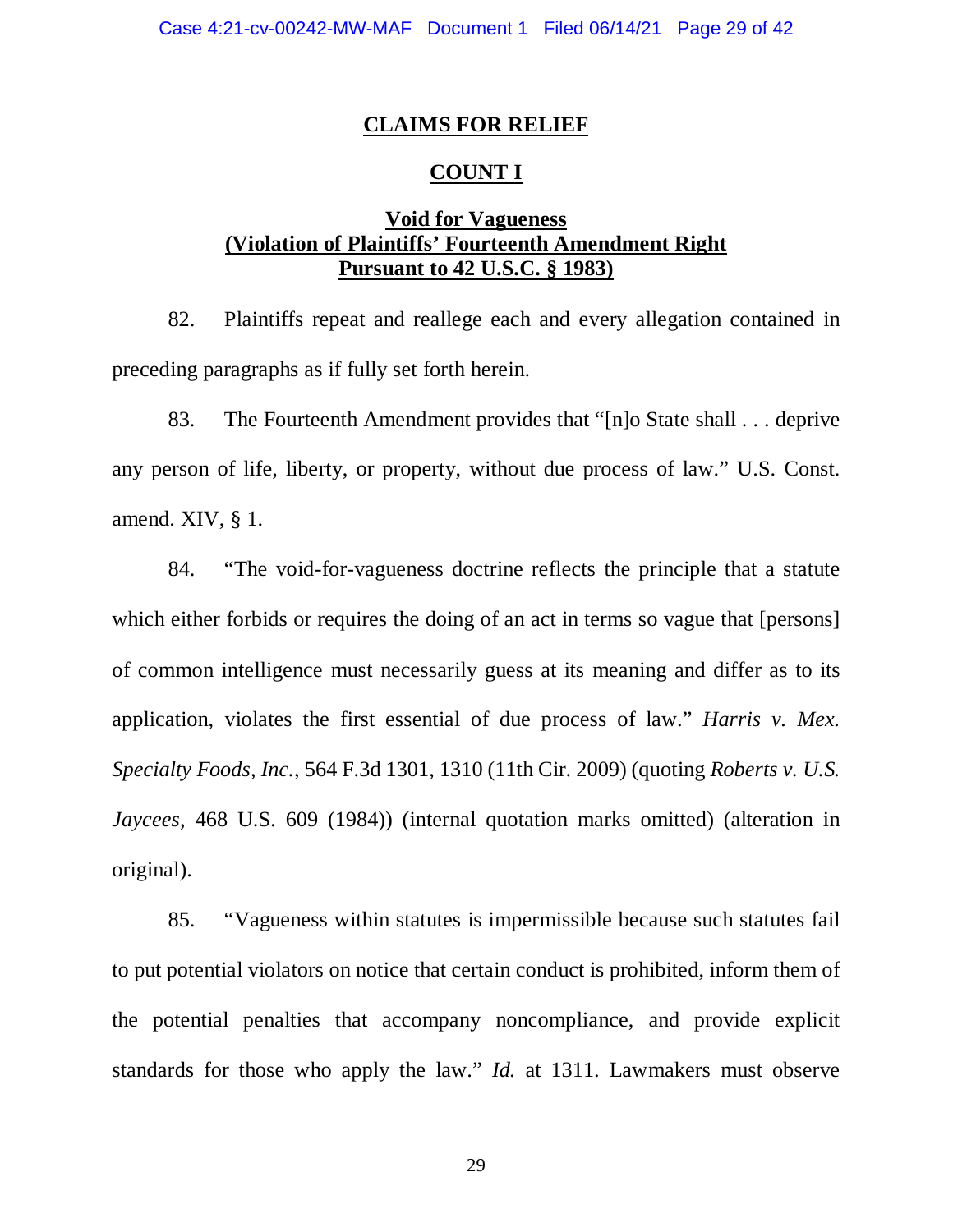## **CLAIMS FOR RELIEF**

## **COUNT I**

## **Void for Vagueness (Violation of Plaintiffs' Fourteenth Amendment Right Pursuant to 42 U.S.C. § 1983)**

82. Plaintiffs repeat and reallege each and every allegation contained in preceding paragraphs as if fully set forth herein.

83. The Fourteenth Amendment provides that "[n]o State shall . . . deprive any person of life, liberty, or property, without due process of law." U.S. Const. amend. XIV, § 1.

84. "The void-for-vagueness doctrine reflects the principle that a statute which either forbids or requires the doing of an act in terms so vague that [persons] of common intelligence must necessarily guess at its meaning and differ as to its application, violates the first essential of due process of law." *Harris v. Mex. Specialty Foods, Inc.*, 564 F.3d 1301, 1310 (11th Cir. 2009) (quoting *Roberts v. U.S. Jaycees*, 468 U.S. 609 (1984)) (internal quotation marks omitted) (alteration in original).

85. "Vagueness within statutes is impermissible because such statutes fail to put potential violators on notice that certain conduct is prohibited, inform them of the potential penalties that accompany noncompliance, and provide explicit standards for those who apply the law." *Id.* at 1311. Lawmakers must observe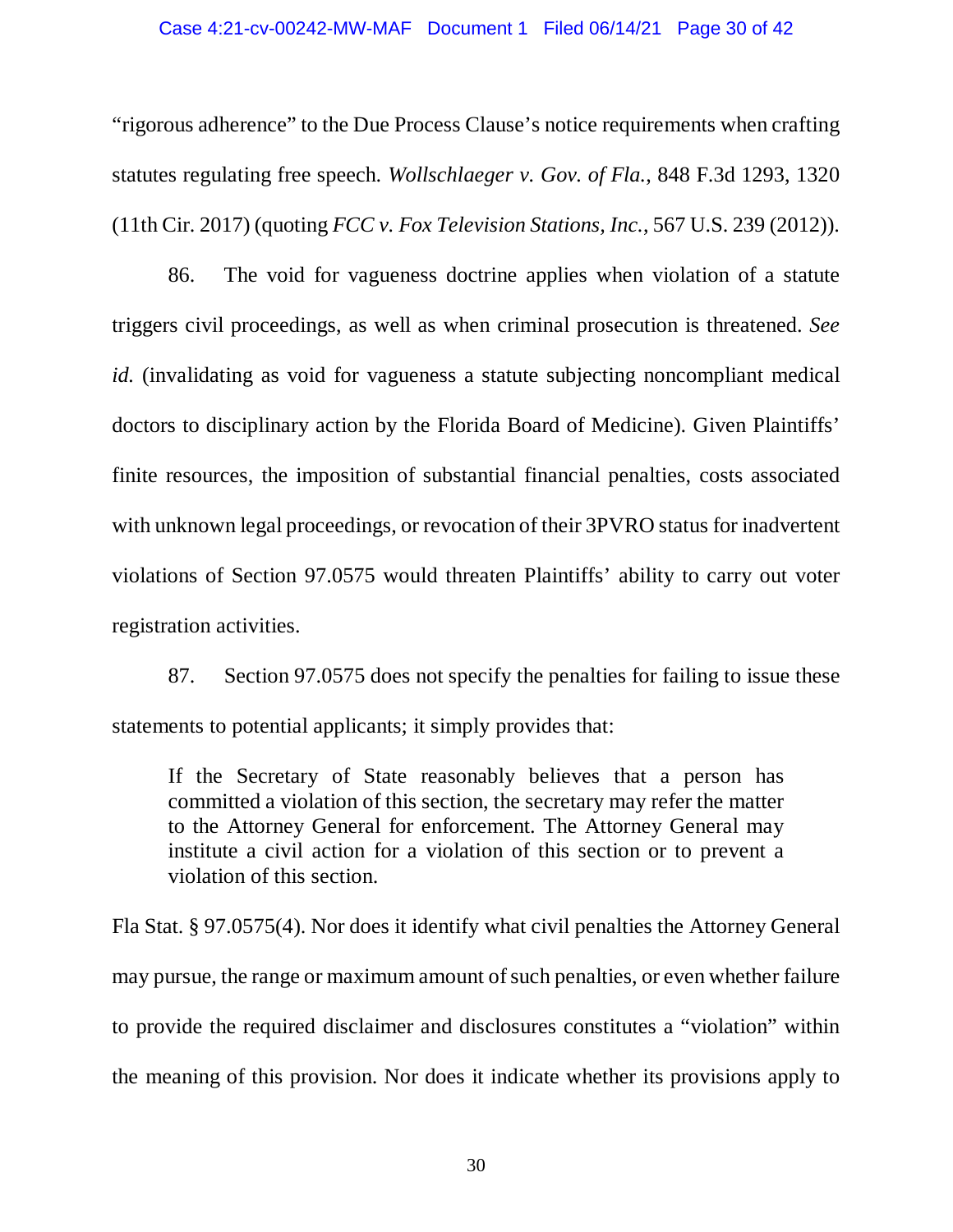### Case 4:21-cv-00242-MW-MAF Document 1 Filed 06/14/21 Page 30 of 42

"rigorous adherence" to the Due Process Clause's notice requirements when crafting statutes regulating free speech. *Wollschlaeger v. Gov. of Fla.*, 848 F.3d 1293, 1320 (11th Cir. 2017) (quoting *FCC v. Fox Television Stations, Inc.*, 567 U.S. 239 (2012)).

86. The void for vagueness doctrine applies when violation of a statute triggers civil proceedings, as well as when criminal prosecution is threatened. *See id.* (invalidating as void for vagueness a statute subjecting noncompliant medical doctors to disciplinary action by the Florida Board of Medicine). Given Plaintiffs' finite resources, the imposition of substantial financial penalties, costs associated with unknown legal proceedings, or revocation of their 3PVRO status for inadvertent violations of Section 97.0575 would threaten Plaintiffs' ability to carry out voter registration activities.

87. Section 97.0575 does not specify the penalties for failing to issue these statements to potential applicants; it simply provides that:

If the Secretary of State reasonably believes that a person has committed a violation of this section, the secretary may refer the matter to the Attorney General for enforcement. The Attorney General may institute a civil action for a violation of this section or to prevent a violation of this section.

Fla Stat. § 97.0575(4). Nor does it identify what civil penalties the Attorney General may pursue, the range or maximum amount of such penalties, or even whether failure to provide the required disclaimer and disclosures constitutes a "violation" within the meaning of this provision. Nor does it indicate whether its provisions apply to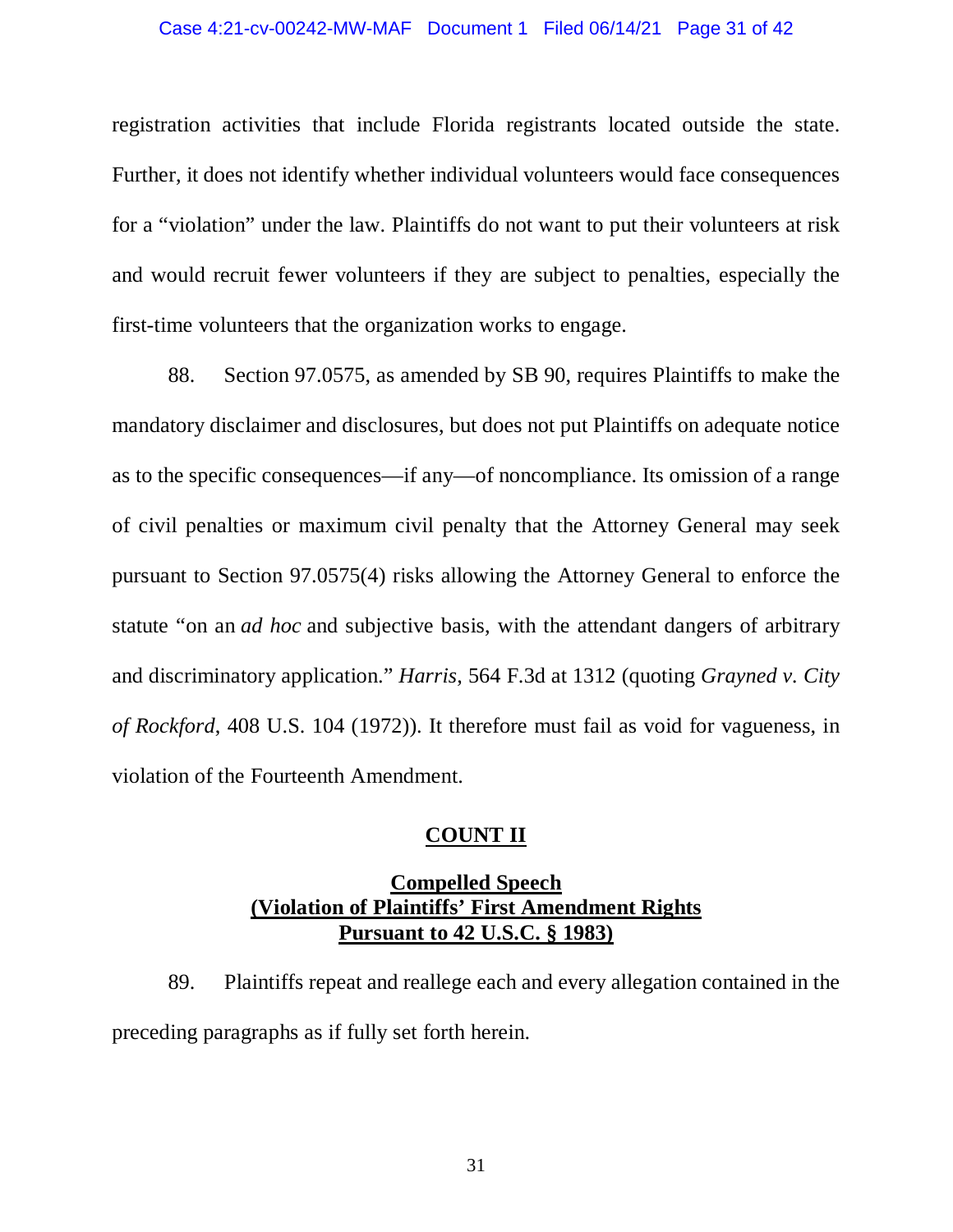### Case 4:21-cv-00242-MW-MAF Document 1 Filed 06/14/21 Page 31 of 42

registration activities that include Florida registrants located outside the state. Further, it does not identify whether individual volunteers would face consequences for a "violation" under the law. Plaintiffs do not want to put their volunteers at risk and would recruit fewer volunteers if they are subject to penalties, especially the first-time volunteers that the organization works to engage.

88. Section 97.0575, as amended by SB 90, requires Plaintiffs to make the mandatory disclaimer and disclosures, but does not put Plaintiffs on adequate notice as to the specific consequences—if any—of noncompliance. Its omission of a range of civil penalties or maximum civil penalty that the Attorney General may seek pursuant to Section 97.0575(4) risks allowing the Attorney General to enforce the statute "on an *ad hoc* and subjective basis, with the attendant dangers of arbitrary and discriminatory application." *Harris*, 564 F.3d at 1312 (quoting *Grayned v. City of Rockford*, 408 U.S. 104 (1972)). It therefore must fail as void for vagueness, in violation of the Fourteenth Amendment.

## **COUNT II**

# **Compelled Speech (Violation of Plaintiffs' First Amendment Rights Pursuant to 42 U.S.C. § 1983)**

89. Plaintiffs repeat and reallege each and every allegation contained in the preceding paragraphs as if fully set forth herein.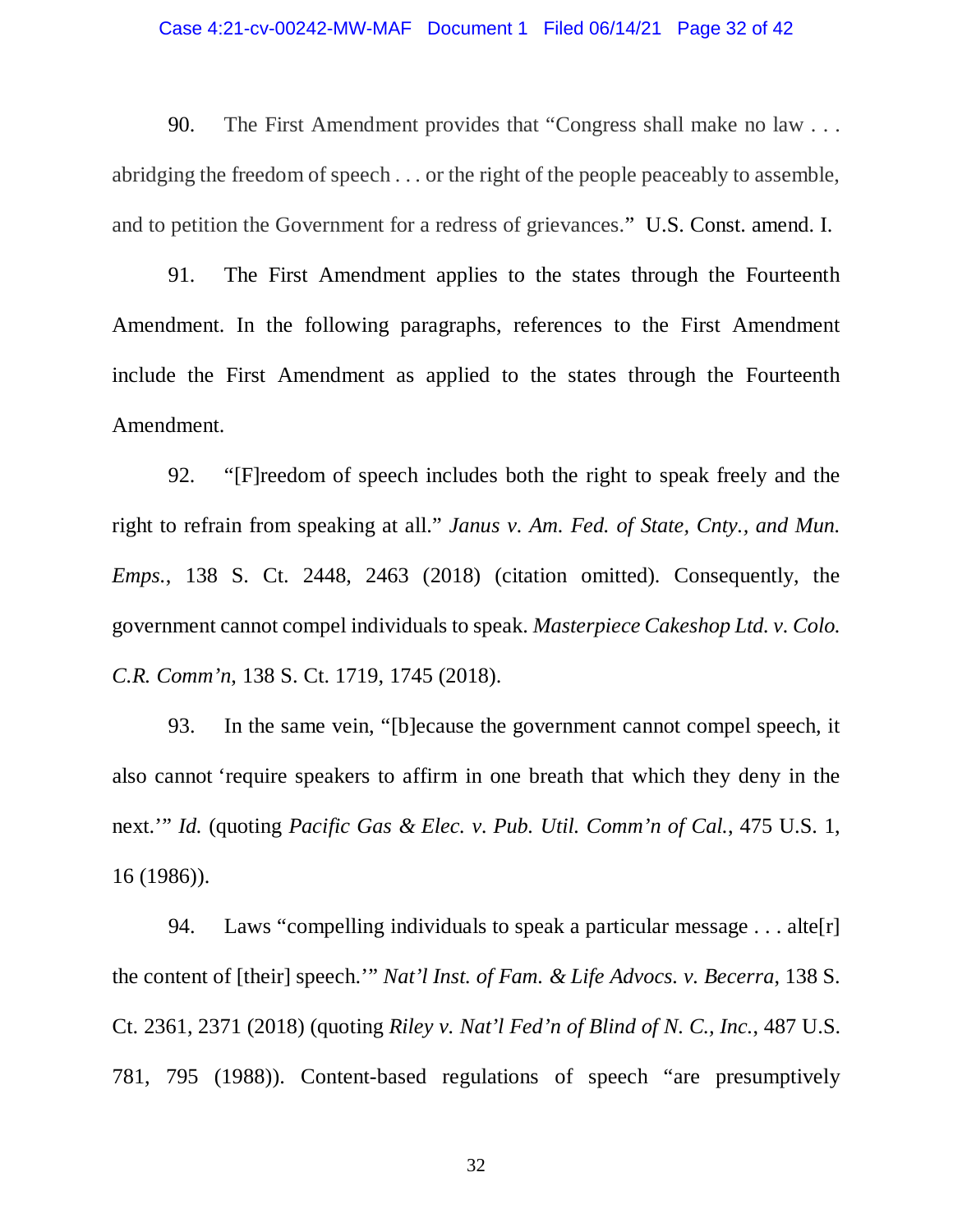### Case 4:21-cv-00242-MW-MAF Document 1 Filed 06/14/21 Page 32 of 42

90. The First Amendment provides that "Congress shall make no law . . . abridging the freedom of speech . . . or the right of the people peaceably to assemble, and to petition the Government for a redress of grievances." U.S. Const. amend. I.

91. The First Amendment applies to the states through the Fourteenth Amendment. In the following paragraphs, references to the First Amendment include the First Amendment as applied to the states through the Fourteenth Amendment.

92. "[F]reedom of speech includes both the right to speak freely and the right to refrain from speaking at all." *Janus v. Am. Fed. of State, Cnty., and Mun. Emps.*, 138 S. Ct. 2448, 2463 (2018) (citation omitted). Consequently, the government cannot compel individuals to speak. *Masterpiece Cakeshop Ltd. v. Colo. C.R. Comm'n*, 138 S. Ct. 1719, 1745 (2018).

93. In the same vein, "[b]ecause the government cannot compel speech, it also cannot 'require speakers to affirm in one breath that which they deny in the next.'" *Id.* (quoting *Pacific Gas & Elec. v. Pub. Util. Comm'n of Cal.*, 475 U.S. 1, 16 (1986)).

94. Laws "compelling individuals to speak a particular message . . . alte[r] the content of [their] speech.'" *Nat'l Inst. of Fam. & Life Advocs. v. Becerra*, 138 S. Ct. 2361, 2371 (2018) (quoting *Riley v. Nat'l Fed'n of Blind of N. C., Inc.*, 487 U.S. 781, 795 (1988)). Content-based regulations of speech "are presumptively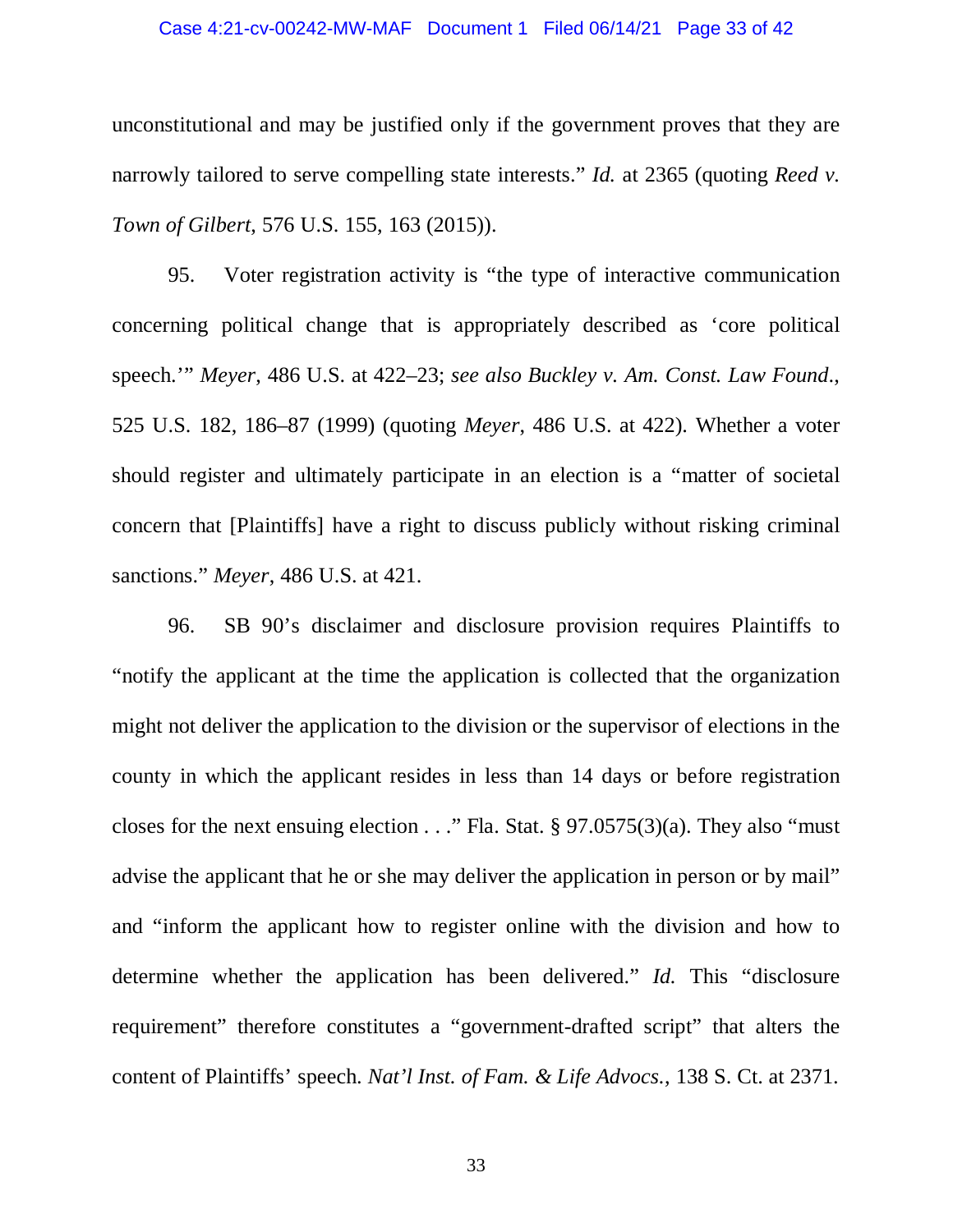### Case 4:21-cv-00242-MW-MAF Document 1 Filed 06/14/21 Page 33 of 42

unconstitutional and may be justified only if the government proves that they are narrowly tailored to serve compelling state interests." *Id.* at 2365 (quoting *Reed v. Town of Gilbert*, 576 U.S. 155, 163 (2015)).

95. Voter registration activity is "the type of interactive communication concerning political change that is appropriately described as 'core political speech.'" *Meyer*, 486 U.S. at 422–23; *see also Buckley v. Am. Const. Law Found*., 525 U.S. 182, 186–87 (1999) (quoting *Meyer*, 486 U.S. at 422). Whether a voter should register and ultimately participate in an election is a "matter of societal concern that [Plaintiffs] have a right to discuss publicly without risking criminal sanctions." *Meyer*, 486 U.S. at 421.

96. SB 90's disclaimer and disclosure provision requires Plaintiffs to "notify the applicant at the time the application is collected that the organization might not deliver the application to the division or the supervisor of elections in the county in which the applicant resides in less than 14 days or before registration closes for the next ensuing election . . ." Fla. Stat. § 97.0575(3)(a). They also "must" advise the applicant that he or she may deliver the application in person or by mail" and "inform the applicant how to register online with the division and how to determine whether the application has been delivered." *Id.* This "disclosure requirement" therefore constitutes a "government-drafted script" that alters the content of Plaintiffs' speech. *Nat'l Inst. of Fam. & Life Advocs.*, 138 S. Ct. at 2371.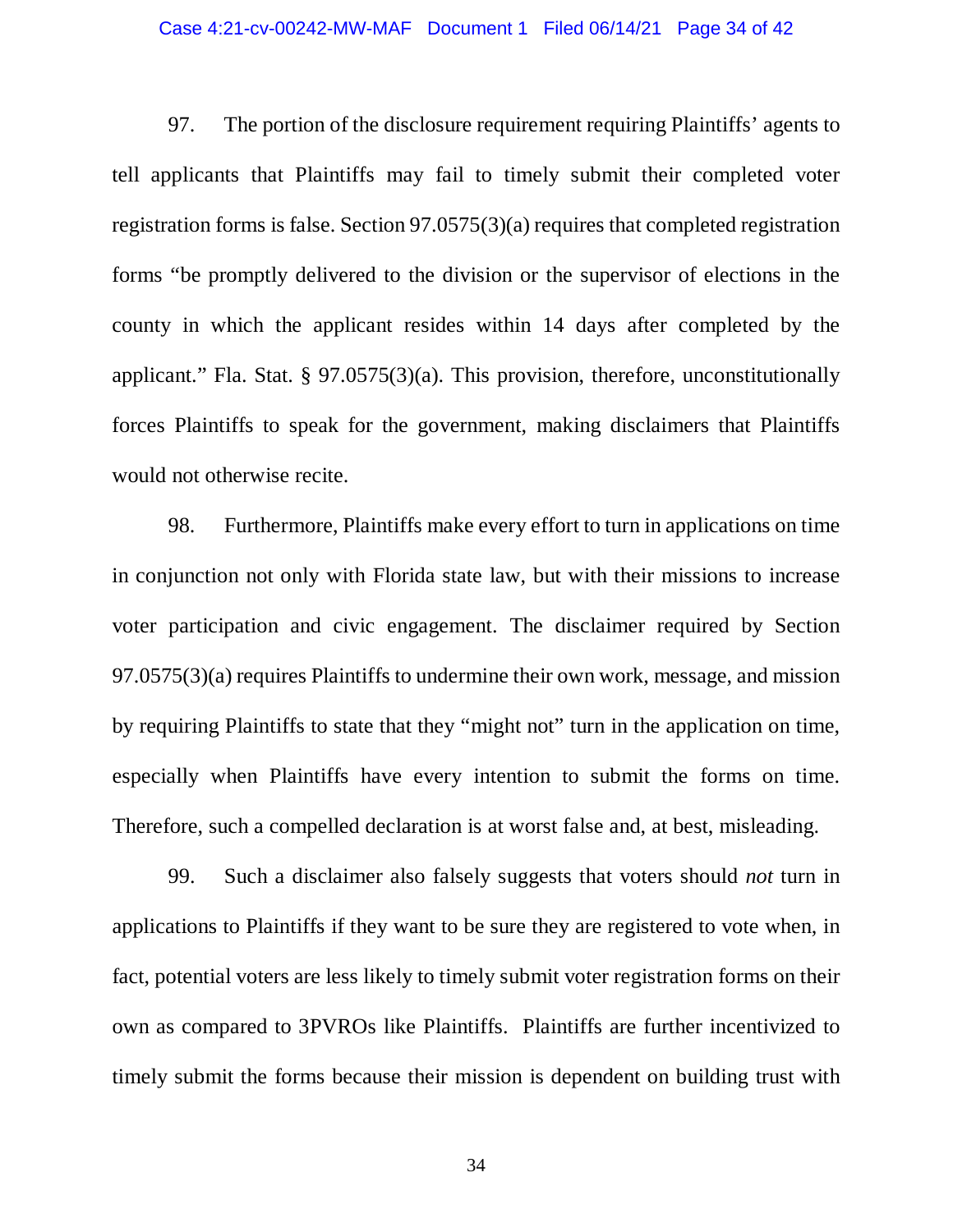### Case 4:21-cv-00242-MW-MAF Document 1 Filed 06/14/21 Page 34 of 42

97. The portion of the disclosure requirement requiring Plaintiffs' agents to tell applicants that Plaintiffs may fail to timely submit their completed voter registration forms is false. Section 97.0575(3)(a) requires that completed registration forms "be promptly delivered to the division or the supervisor of elections in the county in which the applicant resides within 14 days after completed by the applicant." Fla. Stat. § 97.0575(3)(a). This provision, therefore, unconstitutionally forces Plaintiffs to speak for the government, making disclaimers that Plaintiffs would not otherwise recite.

98. Furthermore, Plaintiffs make every effort to turn in applications on time in conjunction not only with Florida state law, but with their missions to increase voter participation and civic engagement. The disclaimer required by Section 97.0575(3)(a) requires Plaintiffs to undermine their own work, message, and mission by requiring Plaintiffs to state that they "might not" turn in the application on time, especially when Plaintiffs have every intention to submit the forms on time. Therefore, such a compelled declaration is at worst false and, at best, misleading.

99. Such a disclaimer also falsely suggests that voters should *not* turn in applications to Plaintiffs if they want to be sure they are registered to vote when, in fact, potential voters are less likely to timely submit voter registration forms on their own as compared to 3PVROs like Plaintiffs. Plaintiffs are further incentivized to timely submit the forms because their mission is dependent on building trust with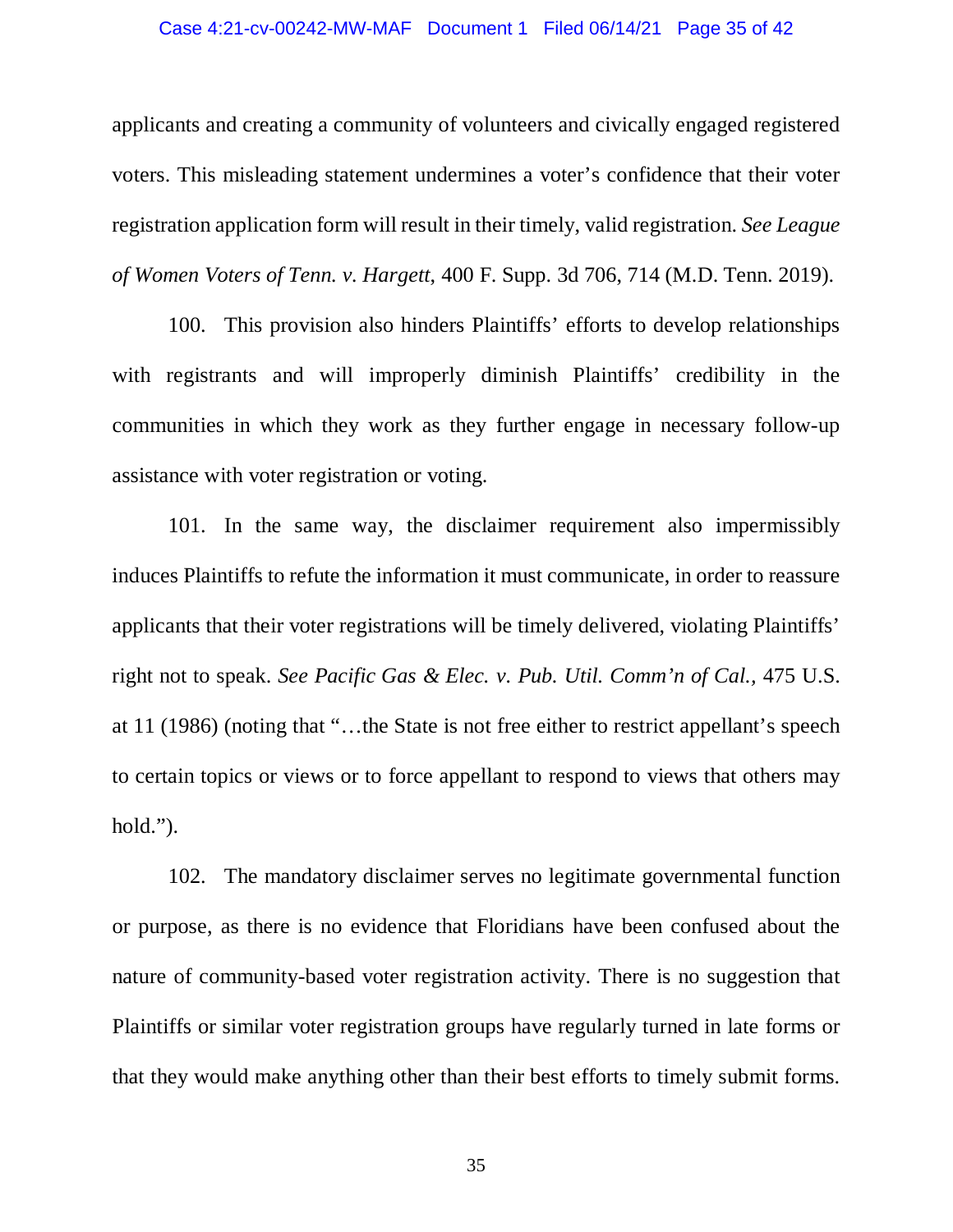### Case 4:21-cv-00242-MW-MAF Document 1 Filed 06/14/21 Page 35 of 42

applicants and creating a community of volunteers and civically engaged registered voters. This misleading statement undermines a voter's confidence that their voter registration application form will result in their timely, valid registration. *See League of Women Voters of Tenn. v. Hargett*, 400 F. Supp. 3d 706, 714 (M.D. Tenn. 2019).

100. This provision also hinders Plaintiffs' efforts to develop relationships with registrants and will improperly diminish Plaintiffs' credibility in the communities in which they work as they further engage in necessary follow-up assistance with voter registration or voting.

101. In the same way, the disclaimer requirement also impermissibly induces Plaintiffs to refute the information it must communicate, in order to reassure applicants that their voter registrations will be timely delivered, violating Plaintiffs' right not to speak. *See Pacific Gas & Elec. v. Pub. Util. Comm'n of Cal.,* 475 U.S. at 11 (1986) (noting that "…the State is not free either to restrict appellant's speech to certain topics or views or to force appellant to respond to views that others may hold.").

102. The mandatory disclaimer serves no legitimate governmental function or purpose, as there is no evidence that Floridians have been confused about the nature of community-based voter registration activity. There is no suggestion that Plaintiffs or similar voter registration groups have regularly turned in late forms or that they would make anything other than their best efforts to timely submit forms.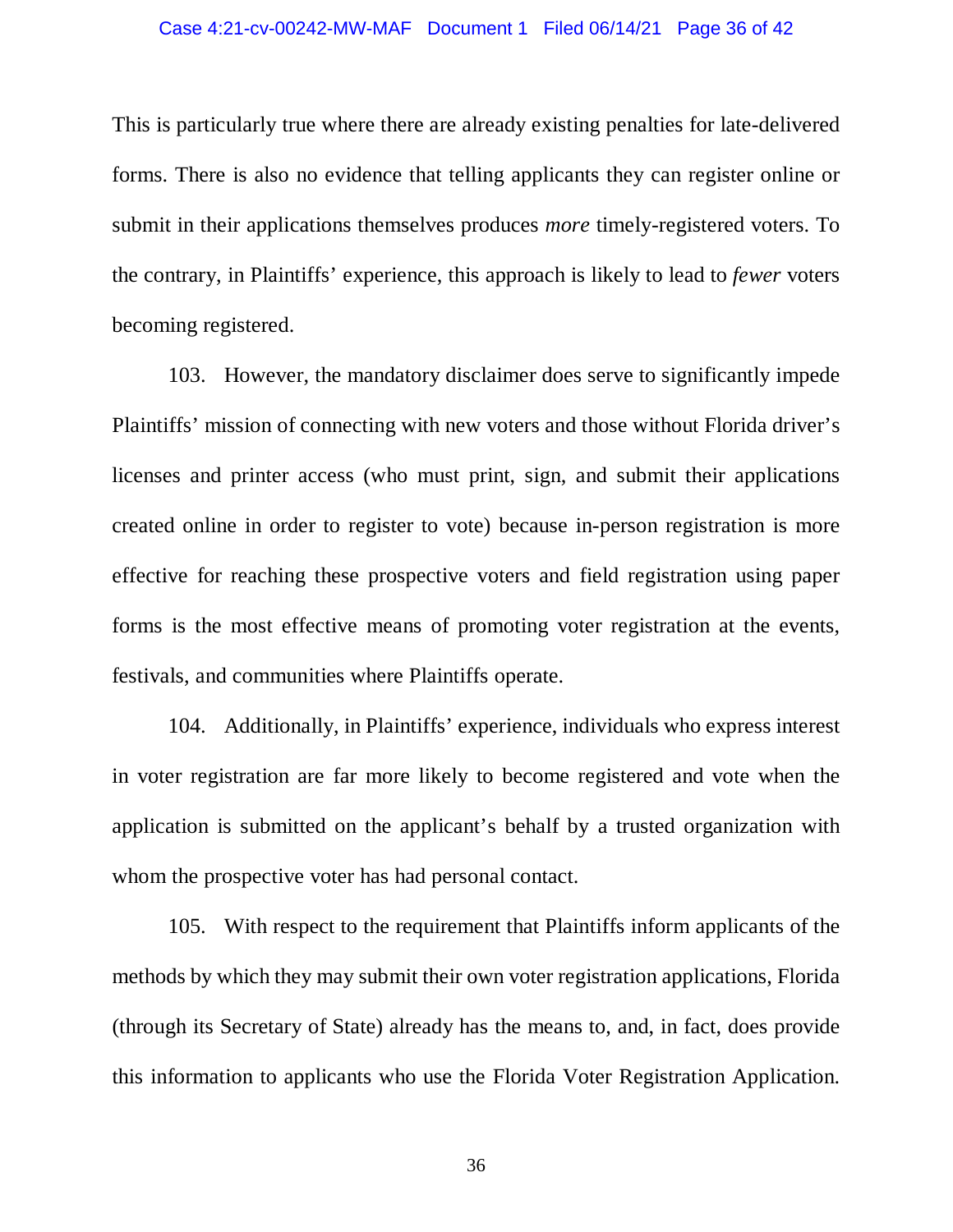This is particularly true where there are already existing penalties for late-delivered forms. There is also no evidence that telling applicants they can register online or submit in their applications themselves produces *more* timely-registered voters. To the contrary, in Plaintiffs' experience, this approach is likely to lead to *fewer* voters becoming registered.

103. However, the mandatory disclaimer does serve to significantly impede Plaintiffs' mission of connecting with new voters and those without Florida driver's licenses and printer access (who must print, sign, and submit their applications created online in order to register to vote) because in-person registration is more effective for reaching these prospective voters and field registration using paper forms is the most effective means of promoting voter registration at the events, festivals, and communities where Plaintiffs operate.

104. Additionally, in Plaintiffs' experience, individuals who express interest in voter registration are far more likely to become registered and vote when the application is submitted on the applicant's behalf by a trusted organization with whom the prospective voter has had personal contact.

105. With respect to the requirement that Plaintiffs inform applicants of the methods by which they may submit their own voter registration applications, Florida (through its Secretary of State) already has the means to, and, in fact, does provide this information to applicants who use the Florida Voter Registration Application.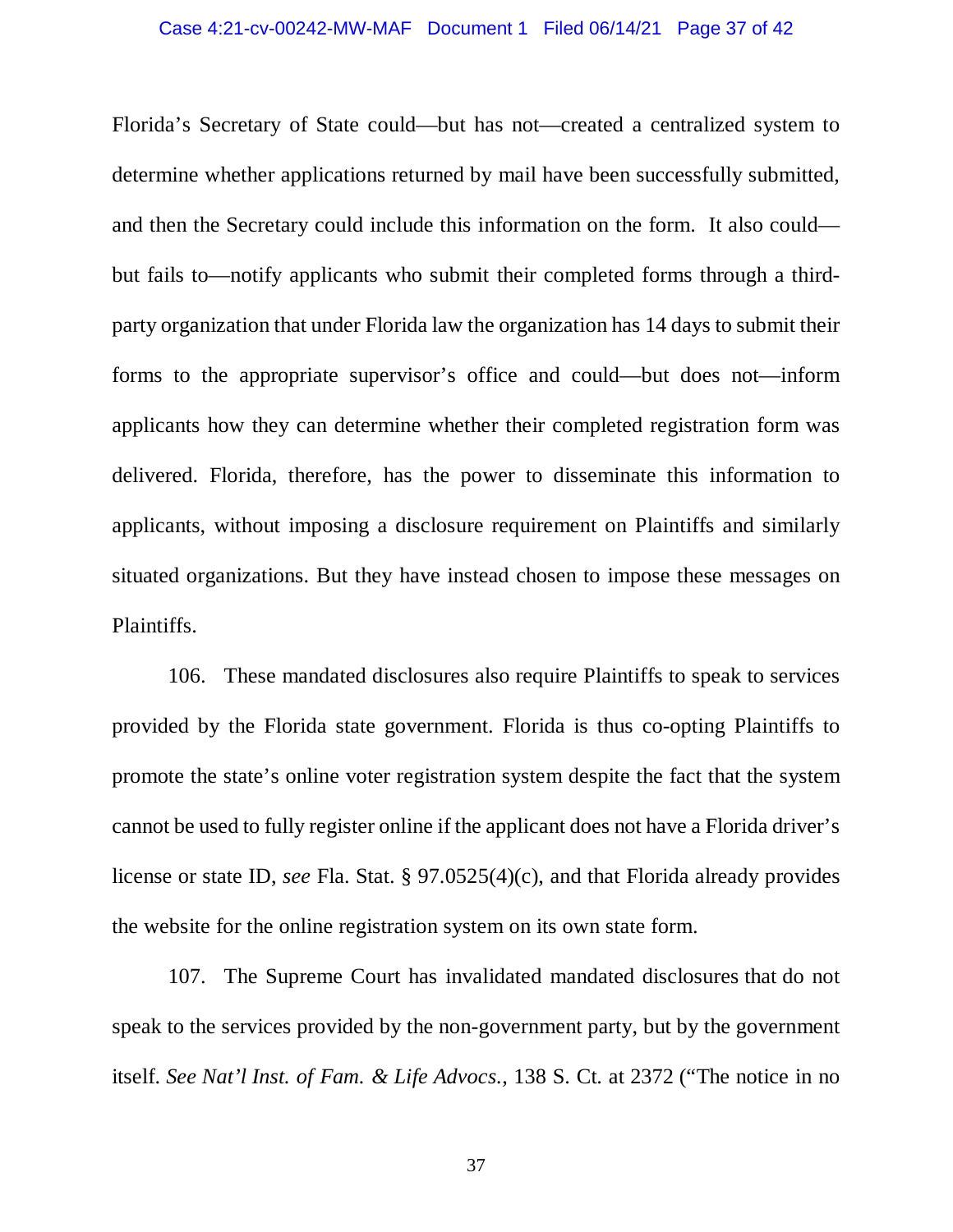Florida's Secretary of State could—but has not—created a centralized system to determine whether applications returned by mail have been successfully submitted, and then the Secretary could include this information on the form. It also could but fails to—notify applicants who submit their completed forms through a thirdparty organization that under Florida law the organization has 14 days to submit their forms to the appropriate supervisor's office and could—but does not—inform applicants how they can determine whether their completed registration form was delivered. Florida, therefore, has the power to disseminate this information to applicants, without imposing a disclosure requirement on Plaintiffs and similarly situated organizations. But they have instead chosen to impose these messages on Plaintiffs.

106. These mandated disclosures also require Plaintiffs to speak to services provided by the Florida state government. Florida is thus co-opting Plaintiffs to promote the state's online voter registration system despite the fact that the system cannot be used to fully register online if the applicant does not have a Florida driver's license or state ID, *see* Fla. Stat. § 97.0525(4)(c), and that Florida already provides the website for the online registration system on its own state form.

107. The Supreme Court has invalidated mandated disclosures that do not speak to the services provided by the non-government party, but by the government itself. *See Nat'l Inst. of Fam. & Life Advocs.*, 138 S. Ct. at 2372 ("The notice in no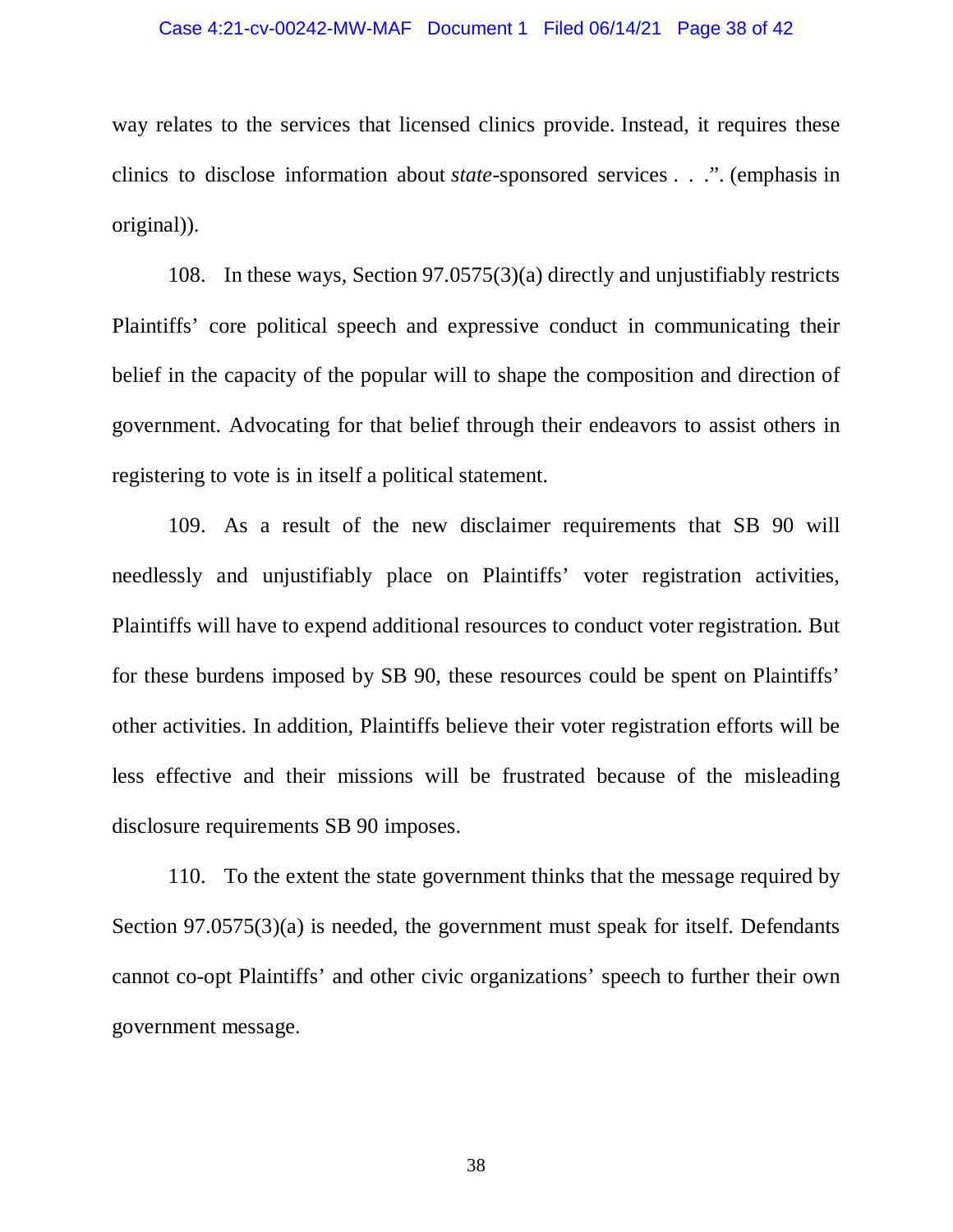### Case 4:21-cv-00242-MW-MAF Document 1 Filed 06/14/21 Page 38 of 42

way relates to the services that licensed clinics provide. Instead, it requires these clinics to disclose information about *state*-sponsored services . . .". (emphasis in original)).

108. In these ways, Section 97.0575(3)(a) directly and unjustifiably restricts Plaintiffs' core political speech and expressive conduct in communicating their belief in the capacity of the popular will to shape the composition and direction of government. Advocating for that belief through their endeavors to assist others in registering to vote is in itself a political statement.

109. As a result of the new disclaimer requirements that SB 90 will needlessly and unjustifiably place on Plaintiffs' voter registration activities, Plaintiffs will have to expend additional resources to conduct voter registration. But for these burdens imposed by SB 90, these resources could be spent on Plaintiffs' other activities. In addition, Plaintiffs believe their voter registration efforts will be less effective and their missions will be frustrated because of the misleading disclosure requirements SB 90 imposes.

110. To the extent the state government thinks that the message required by Section 97.0575(3)(a) is needed, the government must speak for itself. Defendants cannot co-opt Plaintiffs' and other civic organizations' speech to further their own government message.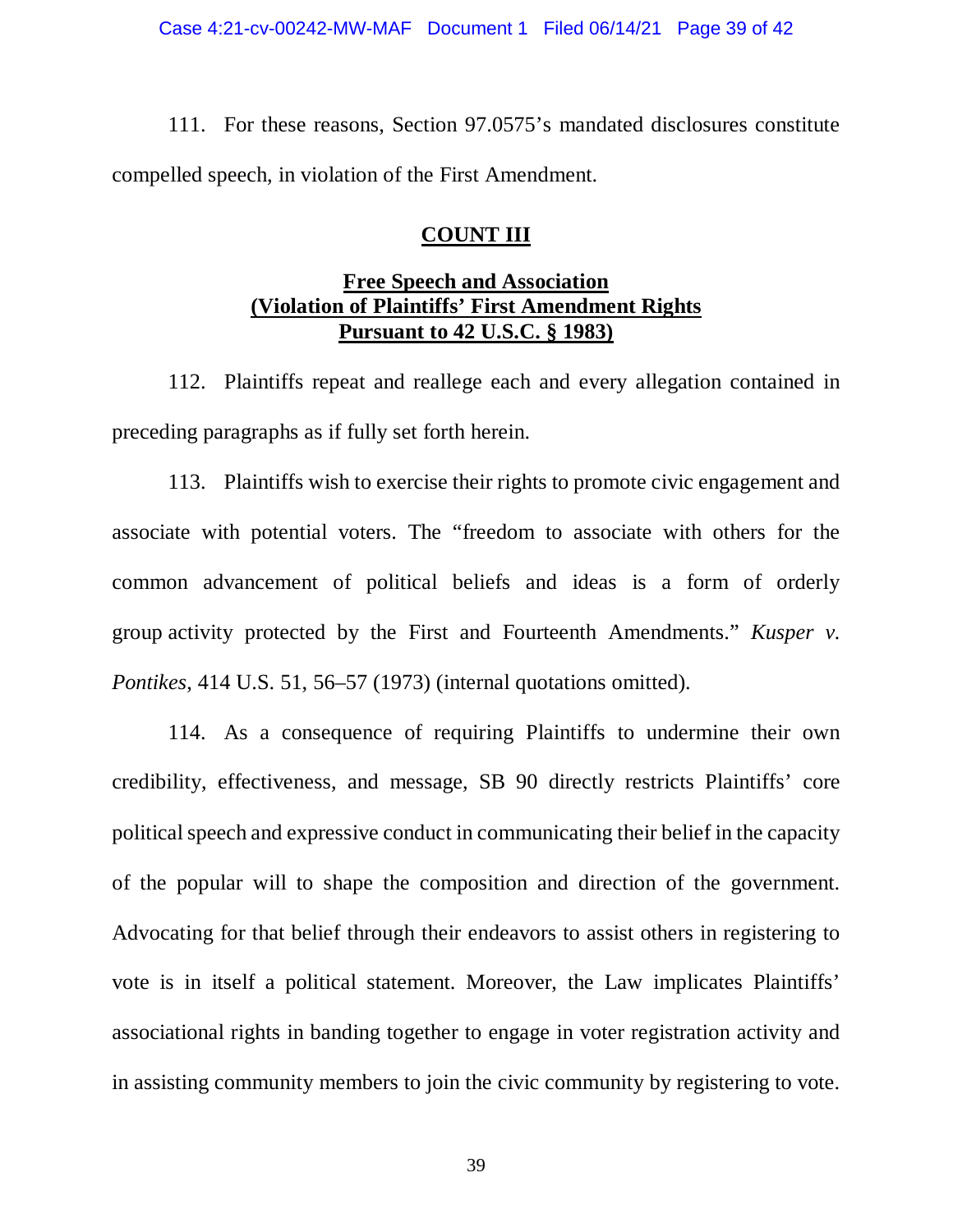111. For these reasons, Section 97.0575's mandated disclosures constitute compelled speech, in violation of the First Amendment.

## **COUNT III**

# **Free Speech and Association (Violation of Plaintiffs' First Amendment Rights Pursuant to 42 U.S.C. § 1983)**

112. Plaintiffs repeat and reallege each and every allegation contained in preceding paragraphs as if fully set forth herein.

113. Plaintiffs wish to exercise their rights to promote civic engagement and associate with potential voters. The "freedom to associate with others for the common advancement of political beliefs and ideas is a form of orderly group activity protected by the First and Fourteenth Amendments." *Kusper v. Pontikes*, 414 U.S. 51, 56–57 (1973) (internal quotations omitted).

114. As a consequence of requiring Plaintiffs to undermine their own credibility, effectiveness, and message, SB 90 directly restricts Plaintiffs' core political speech and expressive conduct in communicating their belief in the capacity of the popular will to shape the composition and direction of the government. Advocating for that belief through their endeavors to assist others in registering to vote is in itself a political statement. Moreover, the Law implicates Plaintiffs' associational rights in banding together to engage in voter registration activity and in assisting community members to join the civic community by registering to vote.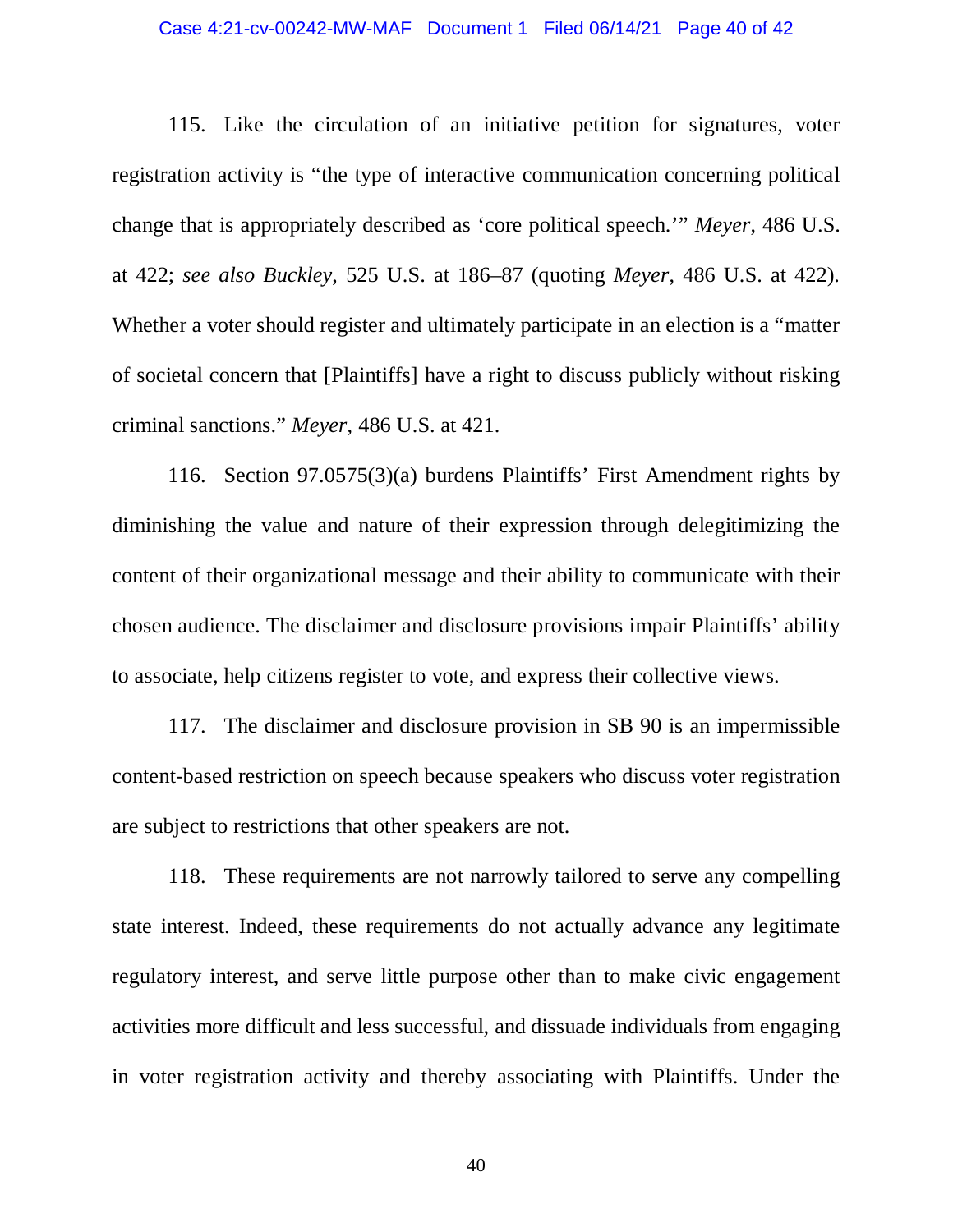### Case 4:21-cv-00242-MW-MAF Document 1 Filed 06/14/21 Page 40 of 42

115. Like the circulation of an initiative petition for signatures, voter registration activity is "the type of interactive communication concerning political change that is appropriately described as 'core political speech.'" *Meyer*, 486 U.S. at 422; *see also Buckley*, 525 U.S. at 186–87 (quoting *Meyer*, 486 U.S. at 422). Whether a voter should register and ultimately participate in an election is a "matter of societal concern that [Plaintiffs] have a right to discuss publicly without risking criminal sanctions." *Meyer*, 486 U.S. at 421.

116. Section 97.0575(3)(a) burdens Plaintiffs' First Amendment rights by diminishing the value and nature of their expression through delegitimizing the content of their organizational message and their ability to communicate with their chosen audience. The disclaimer and disclosure provisions impair Plaintiffs' ability to associate, help citizens register to vote, and express their collective views.

117. The disclaimer and disclosure provision in SB 90 is an impermissible content-based restriction on speech because speakers who discuss voter registration are subject to restrictions that other speakers are not.

118. These requirements are not narrowly tailored to serve any compelling state interest. Indeed, these requirements do not actually advance any legitimate regulatory interest, and serve little purpose other than to make civic engagement activities more difficult and less successful, and dissuade individuals from engaging in voter registration activity and thereby associating with Plaintiffs. Under the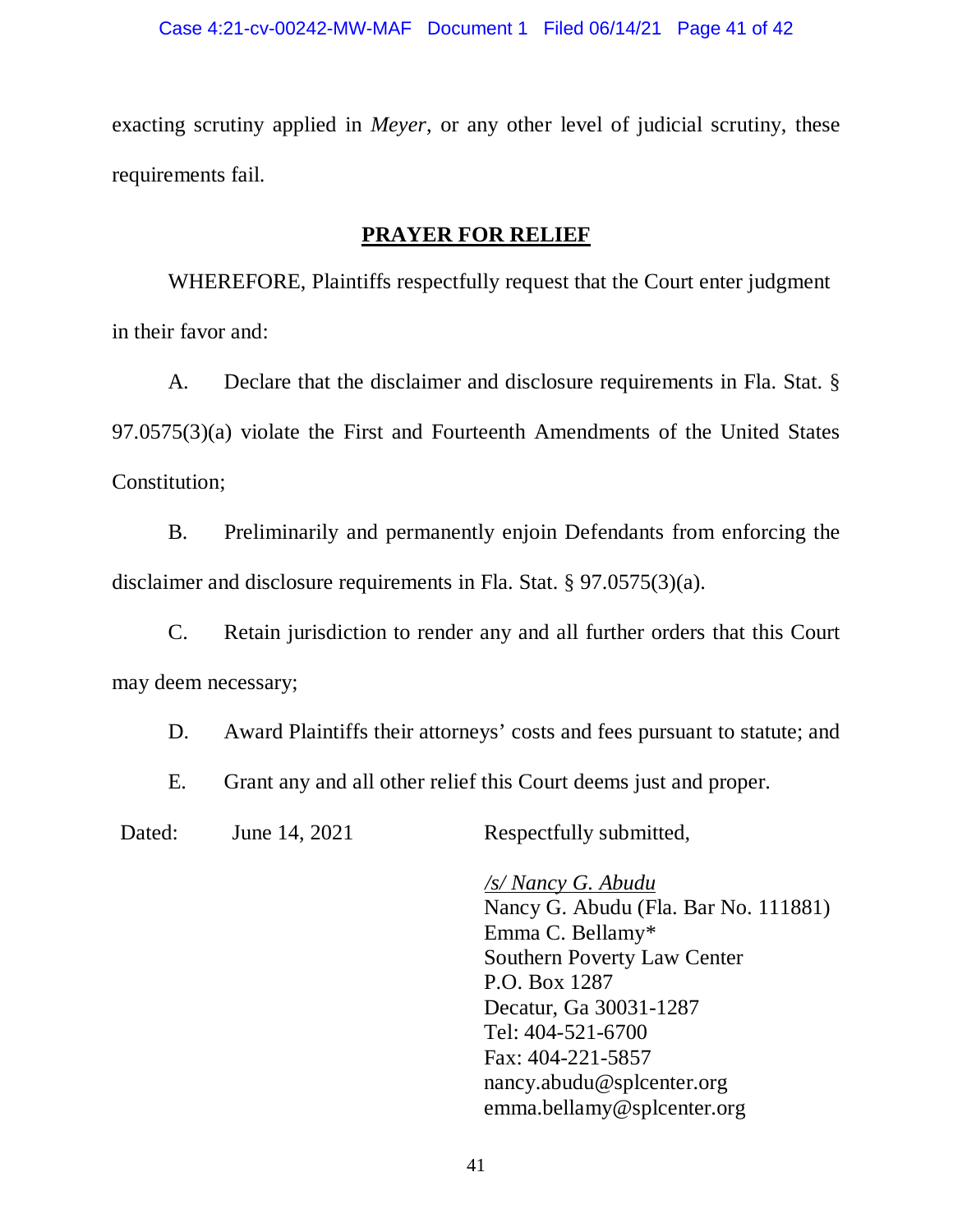exacting scrutiny applied in *Meyer*, or any other level of judicial scrutiny, these requirements fail.

## **PRAYER FOR RELIEF**

WHEREFORE, Plaintiffs respectfully request that the Court enter judgment in their favor and:

A. Declare that the disclaimer and disclosure requirements in Fla. Stat. § 97.0575(3)(a) violate the First and Fourteenth Amendments of the United States Constitution;

B. Preliminarily and permanently enjoin Defendants from enforcing the disclaimer and disclosure requirements in Fla. Stat. § 97.0575(3)(a).

C. Retain jurisdiction to render any and all further orders that this Court may deem necessary;

D. Award Plaintiffs their attorneys' costs and fees pursuant to statute; and

E. Grant any and all other relief this Court deems just and proper.

Dated: June 14, 2021 Respectfully submitted,

*/s/ Nancy G. Abudu* Nancy G. Abudu (Fla. Bar No. 111881) Emma C. Bellamy\* Southern Poverty Law Center P.O. Box 1287 Decatur, Ga 30031-1287 Tel: 404-521-6700 Fax: 404-221-5857 [nancy.abudu@splcenter.org](mailto:nancy.abudu@splcenter.org) [emma.bellamy@splcenter.org](mailto:emma.bellamy@splcenter.org)